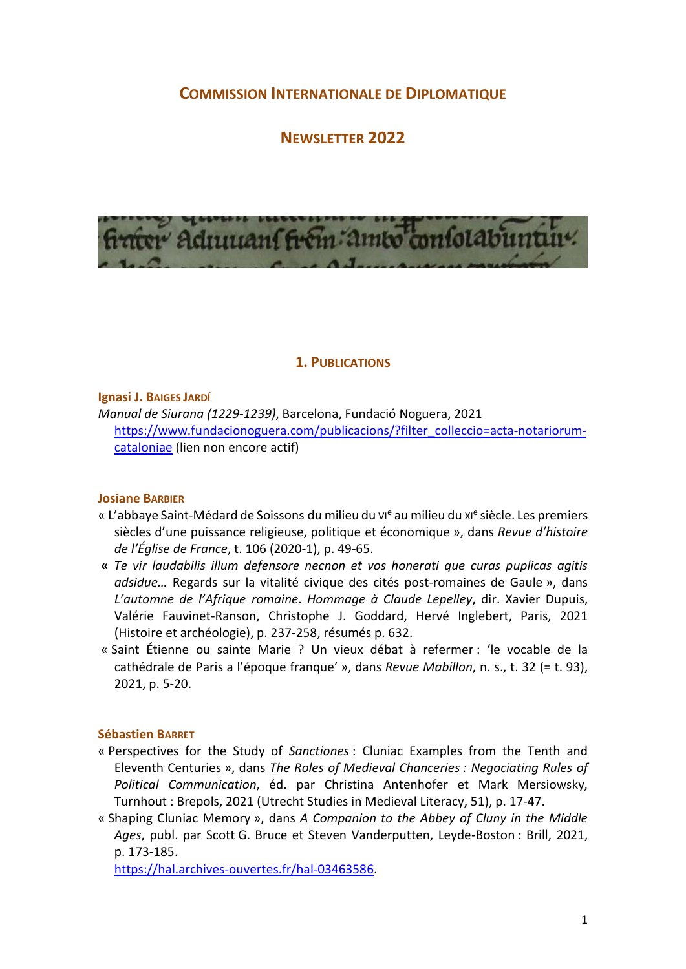# COMMISSION INTERNATIONALE DE DIPLOMATIQUE

# NEWSLETTER 2022



## 1. PUBLICATIONS

Ignasi J. BAIGES JARDÍ

Manual de Siurana (1229-1239), Barcelona, Fundació Noguera, 2021 https://www.fundacionoguera.com/publicacions/?filter\_colleccio=acta-notariorumcataloniae (lien non encore actif)

#### Josiane BARBIER

- « L'abbaye Saint-Médard de Soissons du milieu du vie au milieu du xie siècle. Les premiers siècles d'une puissance religieuse, politique et économique », dans Revue d'histoire de l'Église de France, t. 106 (2020-1), p. 49-65.
- « Te vir laudabilis illum defensore necnon et vos honerati que curas puplicas agitis adsidue… Regards sur la vitalité civique des cités post-romaines de Gaule », dans L'automne de l'Afrique romaine. Hommage à Claude Lepelley, dir. Xavier Dupuis, Valérie Fauvinet-Ranson, Christophe J. Goddard, Hervé Inglebert, Paris, 2021 (Histoire et archéologie), p. 237-258, résumés p. 632.
- « Saint Étienne ou sainte Marie ? Un vieux débat à refermer : 'le vocable de la cathédrale de Paris a l'époque franque' », dans Revue Mabillon, n. s., t. 32 (= t. 93), 2021, p. 5-20.

#### Sébastien BARRET

- « Perspectives for the Study of Sanctiones : Cluniac Examples from the Tenth and Eleventh Centuries », dans The Roles of Medieval Chanceries : Negociating Rules of Political Communication, éd. par Christina Antenhofer et Mark Mersiowsky, Turnhout : Brepols, 2021 (Utrecht Studies in Medieval Literacy, 51), p. 17-47.
- « Shaping Cluniac Memory », dans A Companion to the Abbey of Cluny in the Middle Ages, publ. par Scott G. Bruce et Steven Vanderputten, Leyde-Boston : Brill, 2021, p. 173-185.

https://hal.archives-ouvertes.fr/hal-03463586.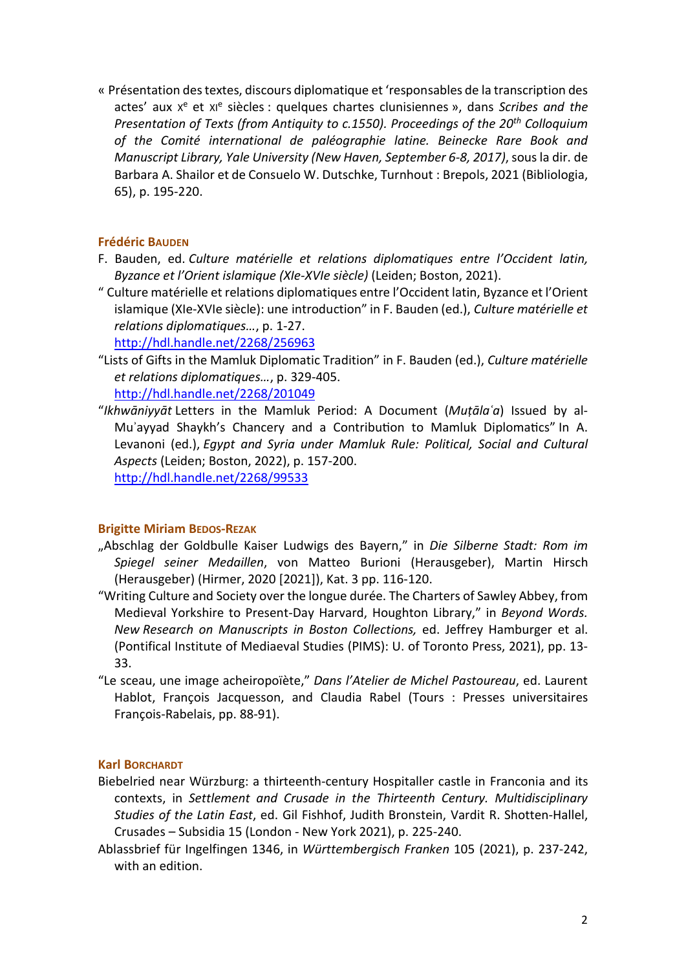« Présentation des textes, discours diplomatique et 'responsables de la transcription des actes' aux x<sup>e</sup> et xi<sup>e</sup> siècles : quelques chartes clunisiennes », dans Scribes and the Presentation of Texts (from Antiquity to c.1550). Proceedings of the 20<sup>th</sup> Colloquium of the Comité international de paléographie latine. Beinecke Rare Book and Manuscript Library, Yale University (New Haven, September 6-8, 2017), sous la dir. de Barbara A. Shailor et de Consuelo W. Dutschke, Turnhout : Brepols, 2021 (Bibliologia, 65), p. 195-220.

## Frédéric BAUDEN

- F. Bauden, ed. Culture matérielle et relations diplomatiques entre l'Occident latin, Byzance et l'Orient islamique (XIe-XVIe siècle) (Leiden; Boston, 2021).
- " Culture matérielle et relations diplomatiques entre l'Occident latin, Byzance et l'Orient islamique (XIe-XVIe siècle): une introduction" in F. Bauden (ed.), Culture matérielle et relations diplomatiques…, p. 1-27.

http://hdl.handle.net/2268/256963

- "Lists of Gifts in the Mamluk Diplomatic Tradition" in F. Bauden (ed.), Culture matérielle et relations diplomatiques…, p. 329-405. http://hdl.handle.net/2268/201049
- "Ikhwāniyyāt Letters in the Mamluk Period: A Document (Mutāla'a) Issued by al-Mu'ayyad Shaykh's Chancery and a Contribution to Mamluk Diplomatics" In A. Levanoni (ed.), Egypt and Syria under Mamluk Rule: Political, Social and Cultural Aspects (Leiden; Boston, 2022), p. 157-200. http://hdl.handle.net/2268/99533

## Brigitte Miriam BEDOS-REZAK

- "Abschlag der Goldbulle Kaiser Ludwigs des Bayern," in Die Silberne Stadt: Rom im Spiegel seiner Medaillen, von Matteo Burioni (Herausgeber), Martin Hirsch (Herausgeber) (Hirmer, 2020 [2021]), Kat. 3 pp. 116-120.
- "Writing Culture and Society over the longue durée. The Charters of Sawley Abbey, from Medieval Yorkshire to Present-Day Harvard, Houghton Library," in Beyond Words. New Research on Manuscripts in Boston Collections, ed. Jeffrey Hamburger et al. (Pontifical Institute of Mediaeval Studies (PIMS): U. of Toronto Press, 2021), pp. 13- 33.
- "Le sceau, une image acheiropoïète," Dans l'Atelier de Michel Pastoureau, ed. Laurent Hablot, François Jacquesson, and Claudia Rabel (Tours : Presses universitaires François-Rabelais, pp. 88-91).

## Karl BORCHARDT

- Biebelried near Würzburg: a thirteenth-century Hospitaller castle in Franconia and its contexts, in Settlement and Crusade in the Thirteenth Century. Multidisciplinary Studies of the Latin East, ed. Gil Fishhof, Judith Bronstein, Vardit R. Shotten-Hallel, Crusades – Subsidia 15 (London - New York 2021), p. 225-240.
- Ablassbrief für Ingelfingen 1346, in Württembergisch Franken 105 (2021), p. 237-242, with an edition.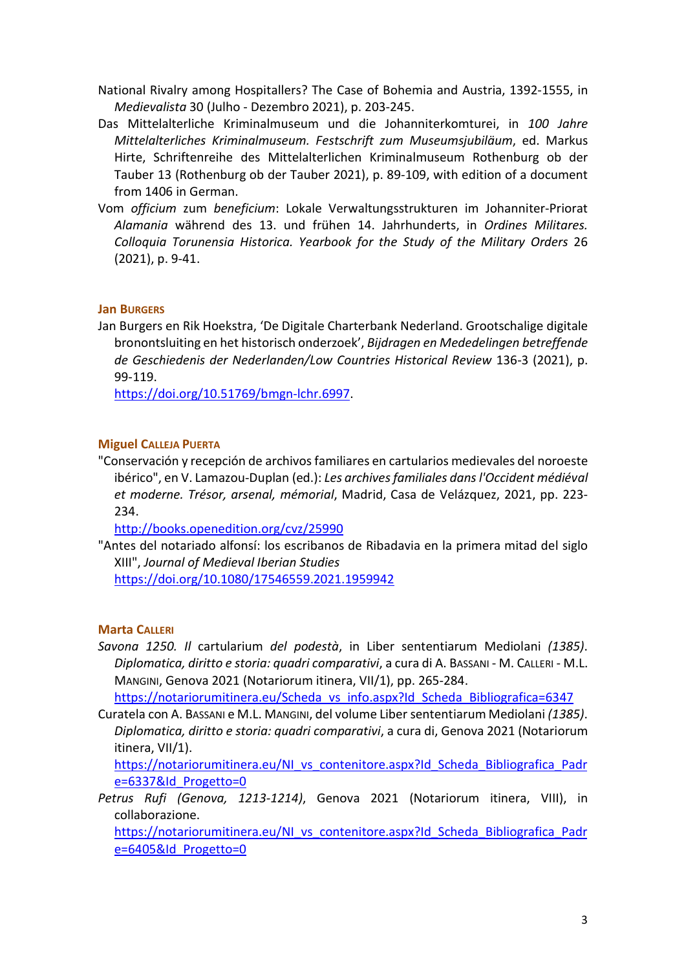- National Rivalry among Hospitallers? The Case of Bohemia and Austria, 1392-1555, in Medievalista 30 (Julho - Dezembro 2021), p. 203-245.
- Das Mittelalterliche Kriminalmuseum und die Johanniterkomturei, in 100 Jahre Mittelalterliches Kriminalmuseum. Festschrift zum Museumsjubiläum, ed. Markus Hirte, Schriftenreihe des Mittelalterlichen Kriminalmuseum Rothenburg ob der Tauber 13 (Rothenburg ob der Tauber 2021), p. 89-109, with edition of a document from 1406 in German.
- Vom officium zum beneficium: Lokale Verwaltungsstrukturen im Johanniter-Priorat Alamania während des 13. und frühen 14. Jahrhunderts, in Ordines Militares. Colloquia Torunensia Historica. Yearbook for the Study of the Military Orders 26 (2021), p. 9-41.

## Jan BURGERS

Jan Burgers en Rik Hoekstra, 'De Digitale Charterbank Nederland. Grootschalige digitale bronontsluiting en het historisch onderzoek', Bijdragen en Mededelingen betreffende de Geschiedenis der Nederlanden/Low Countries Historical Review 136-3 (2021), p. 99-119.

https://doi.org/10.51769/bmgn-lchr.6997.

## Miguel CALLEJA PUERTA

"Conservación y recepción de archivos familiares en cartularios medievales del noroeste ibérico", en V. Lamazou-Duplan (ed.): Les archives familiales dans l'Occident médiéval et moderne. Trésor, arsenal, mémorial, Madrid, Casa de Velázquez, 2021, pp. 223- 234.

http://books.openedition.org/cvz/25990

"Antes del notariado alfonsí: los escribanos de Ribadavia en la primera mitad del siglo XIII", Journal of Medieval Iberian Studies

https://doi.org/10.1080/17546559.2021.1959942

## Marta CALLERI

Savona 1250. Il cartularium del podestà, in Liber sententiarum Mediolani (1385). Diplomatica, diritto e storia: quadri comparativi, a cura di A. BASSANI - M. CALLERI - M.L. MANGINI, Genova 2021 (Notariorum itinera, VII/1), pp. 265-284.

https://notariorumitinera.eu/Scheda\_vs\_info.aspx?Id\_Scheda\_Bibliografica=6347

Curatela con A. BASSANI e M.L. MANGINI, del volume Liber sententiarum Mediolani (1385). Diplomatica, diritto e storia: quadri comparativi, a cura di, Genova 2021 (Notariorum itinera, VII/1).

https://notariorumitinera.eu/NI\_vs\_contenitore.aspx?Id\_Scheda\_Bibliografica\_Padr e=6337&Id\_Progetto=0

Petrus Rufi (Genova, 1213-1214), Genova 2021 (Notariorum itinera, VIII), in collaborazione.

https://notariorumitinera.eu/NI\_vs\_contenitore.aspx?Id\_Scheda\_Bibliografica\_Padr e=6405&Id\_Progetto=0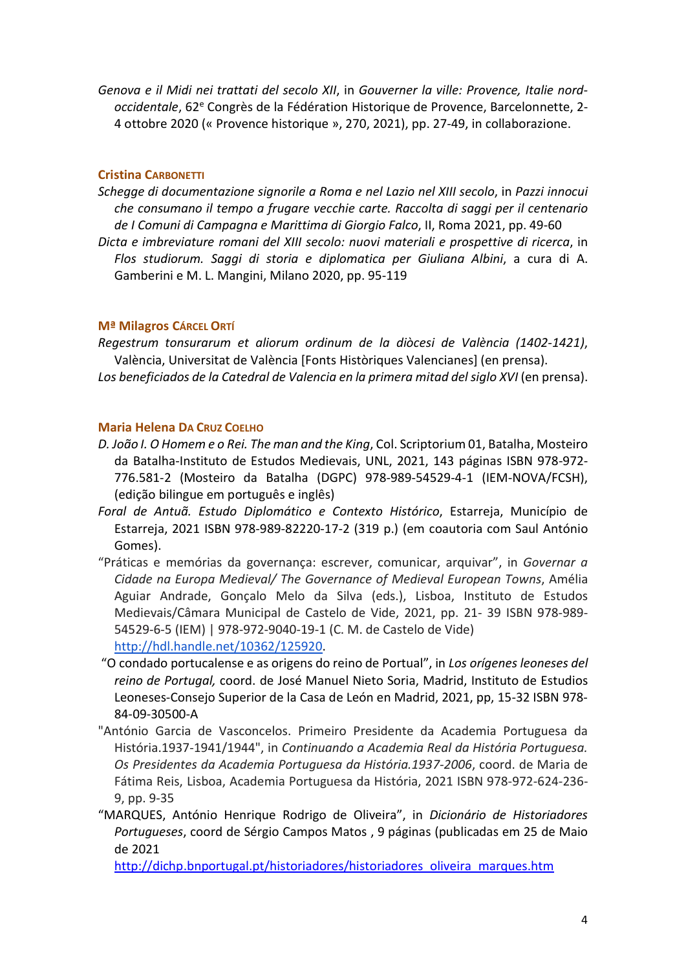Genova e il Midi nei trattati del secolo XII, in Gouverner la ville: Provence, Italie nordoccidentale, 62<sup>e</sup> Congrès de la Fédération Historique de Provence, Barcelonnette, 2-4 ottobre 2020 (« Provence historique », 270, 2021), pp. 27-49, in collaborazione.

## Cristina CARBONETTI

- Schegge di documentazione signorile a Roma e nel Lazio nel XIII secolo, in Pazzi innocui che consumano il tempo a frugare vecchie carte. Raccolta di saggi per il centenario de I Comuni di Campagna e Marittima di Giorgio Falco, II, Roma 2021, pp. 49-60
- Dicta e imbreviature romani del XIII secolo: nuovi materiali e prospettive di ricerca, in Flos studiorum. Saggi di storia e diplomatica per Giuliana Albini, a cura di A. Gamberini e M. L. Mangini, Milano 2020, pp. 95-119

## Mª Milagros CÁRCEL ORTÍ

Regestrum tonsurarum et aliorum ordinum de la diòcesi de València (1402-1421), València, Universitat de València [Fonts Històriques Valencianes] (en prensa). Los beneficiados de la Catedral de Valencia en la primera mitad del siglo XVI (en prensa).

## Maria Helena DA CRUZ COELHO

- D. João I. O Homem e o Rei. The man and the King, Col. Scriptorium 01, Batalha, Mosteiro da Batalha-Instituto de Estudos Medievais, UNL, 2021, 143 páginas ISBN 978-972- 776.581-2 (Mosteiro da Batalha (DGPC) 978-989-54529-4-1 (IEM-NOVA/FCSH), (edição bilingue em português e inglês)
- Foral de Antuã. Estudo Diplomático e Contexto Histórico, Estarreja, Município de Estarreja, 2021 ISBN 978-989-82220-17-2 (319 p.) (em coautoria com Saul António Gomes).
- "Práticas e memórias da governança: escrever, comunicar, arquivar", in Governar a Cidade na Europa Medieval/ The Governance of Medieval European Towns, Amélia Aguiar Andrade, Gonçalo Melo da Silva (eds.), Lisboa, Instituto de Estudos Medievais/Câmara Municipal de Castelo de Vide, 2021, pp. 21- 39 ISBN 978-989- 54529-6-5 (IEM) | 978-972-9040-19-1 (C. M. de Castelo de Vide)

http://hdl.handle.net/10362/125920.

- "O condado portucalense e as origens do reino de Portual", in Los orígenes leoneses del reino de Portugal, coord. de José Manuel Nieto Soria, Madrid, Instituto de Estudios Leoneses-Consejo Superior de la Casa de León en Madrid, 2021, pp, 15-32 ISBN 978- 84-09-30500-A
- "António Garcia de Vasconcelos. Primeiro Presidente da Academia Portuguesa da História.1937-1941/1944", in Continuando a Academia Real da História Portuguesa. Os Presidentes da Academia Portuguesa da História.1937-2006, coord. de Maria de Fátima Reis, Lisboa, Academia Portuguesa da História, 2021 ISBN 978-972-624-236- 9, pp. 9-35
- "MARQUES, António Henrique Rodrigo de Oliveira", in Dicionário de Historiadores Portugueses, coord de Sérgio Campos Matos , 9 páginas (publicadas em 25 de Maio de 2021

http://dichp.bnportugal.pt/historiadores/historiadores\_oliveira\_marques.htm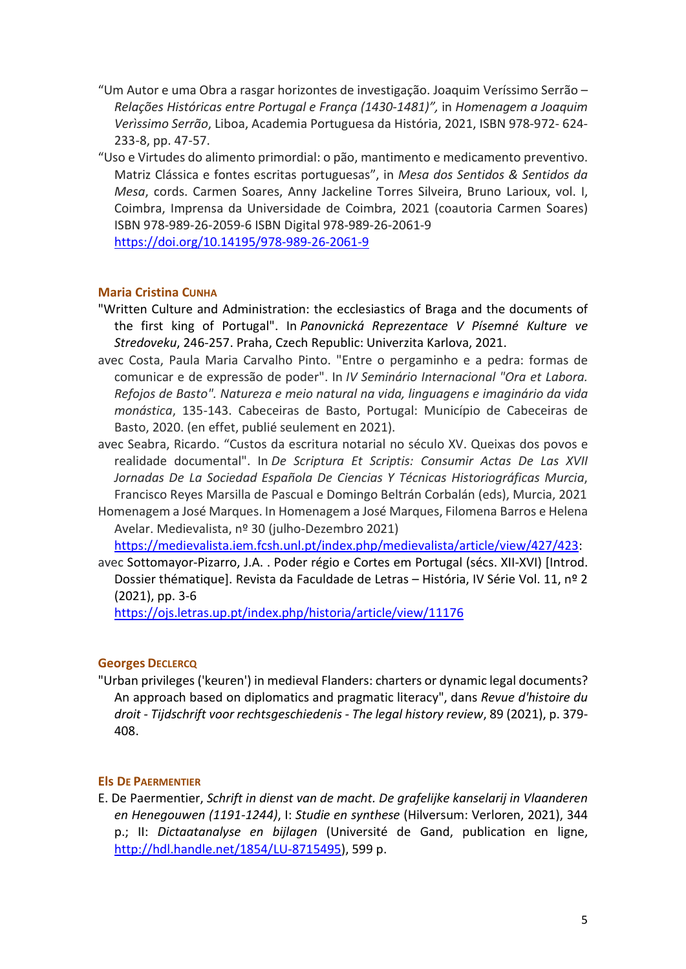- "Um Autor e uma Obra a rasgar horizontes de investigação. Joaquim Veríssimo Serrão Relações Históricas entre Portugal e França (1430-1481)", in Homenagem a Joaquim Verìssimo Serrão, Liboa, Academia Portuguesa da História, 2021, ISBN 978-972- 624- 233-8, pp. 47-57.
- "Uso e Virtudes do alimento primordial: o pão, mantimento e medicamento preventivo. Matriz Clássica e fontes escritas portuguesas", in Mesa dos Sentidos & Sentidos da Mesa, cords. Carmen Soares, Anny Jackeline Torres Silveira, Bruno Larioux, vol. I, Coimbra, Imprensa da Universidade de Coimbra, 2021 (coautoria Carmen Soares) ISBN 978-989-26-2059-6 ISBN Digital 978-989-26-2061-9

https://doi.org/10.14195/978-989-26-2061-9

## Maria Cristina CUNHA

- "Written Culture and Administration: the ecclesiastics of Braga and the documents of the first king of Portugal". In Panovnická Reprezentace V Písemné Kulture ve Stredoveku, 246-257. Praha, Czech Republic: Univerzita Karlova, 2021.
- avec Costa, Paula Maria Carvalho Pinto. "Entre o pergaminho e a pedra: formas de comunicar e de expressão de poder". In IV Seminário Internacional "Ora et Labora. Refojos de Basto". Natureza e meio natural na vida, linguagens e imaginário da vida monástica, 135-143. Cabeceiras de Basto, Portugal: Município de Cabeceiras de Basto, 2020. (en effet, publié seulement en 2021).
- avec Seabra, Ricardo. "Custos da escritura notarial no século XV. Queixas dos povos e realidade documental". In De Scriptura Et Scriptis: Consumir Actas De Las XVII Jornadas De La Sociedad Española De Ciencias Y Técnicas Historiográficas Murcia, Francisco Reyes Marsilla de Pascual e Domingo Beltrán Corbalán (eds), Murcia, 2021
- Homenagem a José Marques. In Homenagem a José Marques, Filomena Barros e Helena Avelar. Medievalista, nº 30 (julho-Dezembro 2021)

https://medievalista.iem.fcsh.unl.pt/index.php/medievalista/article/view/427/423:

avec Sottomayor-Pizarro, J.A. . Poder régio e Cortes em Portugal (sécs. XII-XVI) [Introd. Dossier thématique]. Revista da Faculdade de Letras – História, IV Série Vol. 11, nº 2 (2021), pp. 3-6

https://ojs.letras.up.pt/index.php/historia/article/view/11176

## Georges DECLERCQ

"Urban privileges ('keuren') in medieval Flanders: charters or dynamic legal documents? An approach based on diplomatics and pragmatic literacy", dans Revue d'histoire du droit - Tijdschrift voor rechtsgeschiedenis - The legal history review, 89 (2021), p. 379- 408.

## Els DE PAERMENTIER

E. De Paermentier, Schrift in dienst van de macht. De grafelijke kanselarij in Vlaanderen en Henegouwen (1191-1244), I: Studie en synthese (Hilversum: Verloren, 2021), 344 p.; II: Dictaatanalyse en bijlagen (Université de Gand, publication en ligne, http://hdl.handle.net/1854/LU-8715495), 599 p.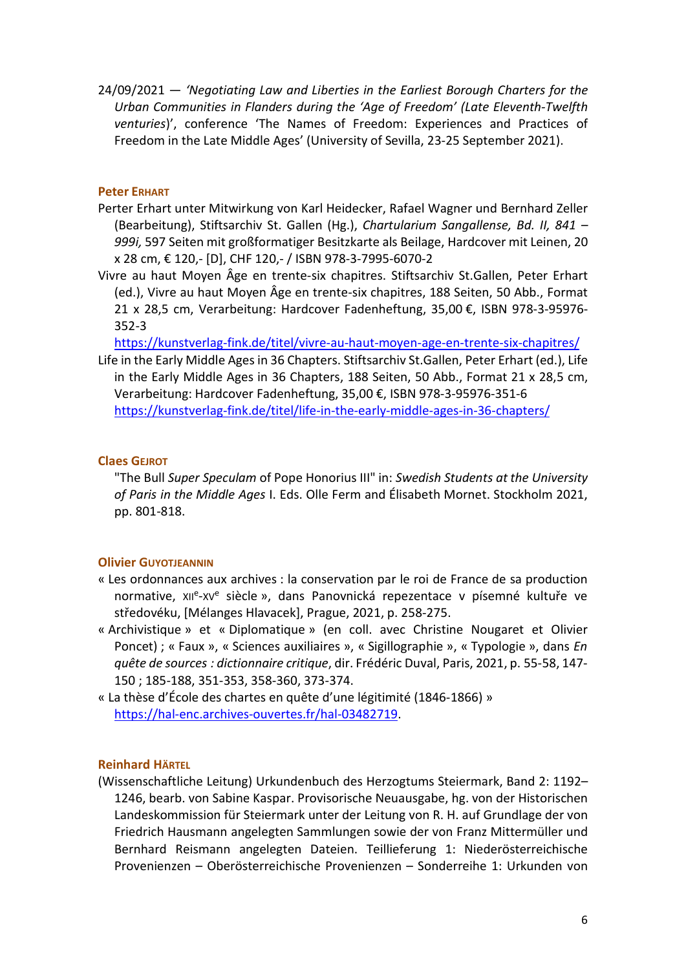24/09/2021 — 'Negotiating Law and Liberties in the Earliest Borough Charters for the Urban Communities in Flanders during the 'Age of Freedom' (Late Eleventh-Twelfth venturies)', conference 'The Names of Freedom: Experiences and Practices of Freedom in the Late Middle Ages' (University of Sevilla, 23-25 September 2021).

## Peter ERHART

- Perter Erhart unter Mitwirkung von Karl Heidecker, Rafael Wagner und Bernhard Zeller (Bearbeitung), Stiftsarchiv St. Gallen (Hg.), Chartularium Sangallense, Bd. II, 841 – 999i, 597 Seiten mit großformatiger Besitzkarte als Beilage, Hardcover mit Leinen, 20 x 28 cm, € 120,- [D], CHF 120,- / ISBN 978-3-7995-6070-2
- Vivre au haut Moyen Âge en trente-six chapitres. Stiftsarchiv St.Gallen, Peter Erhart (ed.), Vivre au haut Moyen Âge en trente-six chapitres, 188 Seiten, 50 Abb., Format 21 x 28,5 cm, Verarbeitung: Hardcover Fadenheftung, 35,00 €, ISBN 978-3-95976- 352-3

https://kunstverlag-fink.de/titel/vivre-au-haut-moyen-age-en-trente-six-chapitres/

Life in the Early Middle Ages in 36 Chapters. Stiftsarchiv St.Gallen, Peter Erhart (ed.), Life in the Early Middle Ages in 36 Chapters, 188 Seiten, 50 Abb., Format 21 x 28,5 cm, Verarbeitung: Hardcover Fadenheftung, 35,00 €, ISBN 978-3-95976-351-6 https://kunstverlag-fink.de/titel/life-in-the-early-middle-ages-in-36-chapters/

## Claes GEJROT

"The Bull Super Speculam of Pope Honorius III" in: Swedish Students at the University of Paris in the Middle Ages I. Eds. Olle Ferm and Élisabeth Mornet. Stockholm 2021, pp. 801-818.

#### Olivier GUYOTJEANNIN

- « Les ordonnances aux archives : la conservation par le roi de France de sa production normative, xile-xve siècle », dans Panovnická repezentace v písemné kultuře ve středovéku, [Mélanges Hlavacek], Prague, 2021, p. 258-275.
- « Archivistique » et « Diplomatique » (en coll. avec Christine Nougaret et Olivier Poncet) ; « Faux », « Sciences auxiliaires », « Sigillographie », « Typologie », dans En quête de sources : dictionnaire critique, dir. Frédéric Duval, Paris, 2021, p. 55-58, 147- 150 ; 185-188, 351-353, 358-360, 373-374.
- « La thèse d'École des chartes en quête d'une légitimité (1846-1866) » https://hal-enc.archives-ouvertes.fr/hal-03482719.

#### Reinhard HÄRTEL

(Wissenschaftliche Leitung) Urkundenbuch des Herzogtums Steiermark, Band 2: 1192– 1246, bearb. von Sabine Kaspar. Provisorische Neuausgabe, hg. von der Historischen Landeskommission für Steiermark unter der Leitung von R. H. auf Grundlage der von Friedrich Hausmann angelegten Sammlungen sowie der von Franz Mittermüller und Bernhard Reismann angelegten Dateien. Teillieferung 1: Niederösterreichische Provenienzen – Oberösterreichische Provenienzen – Sonderreihe 1: Urkunden von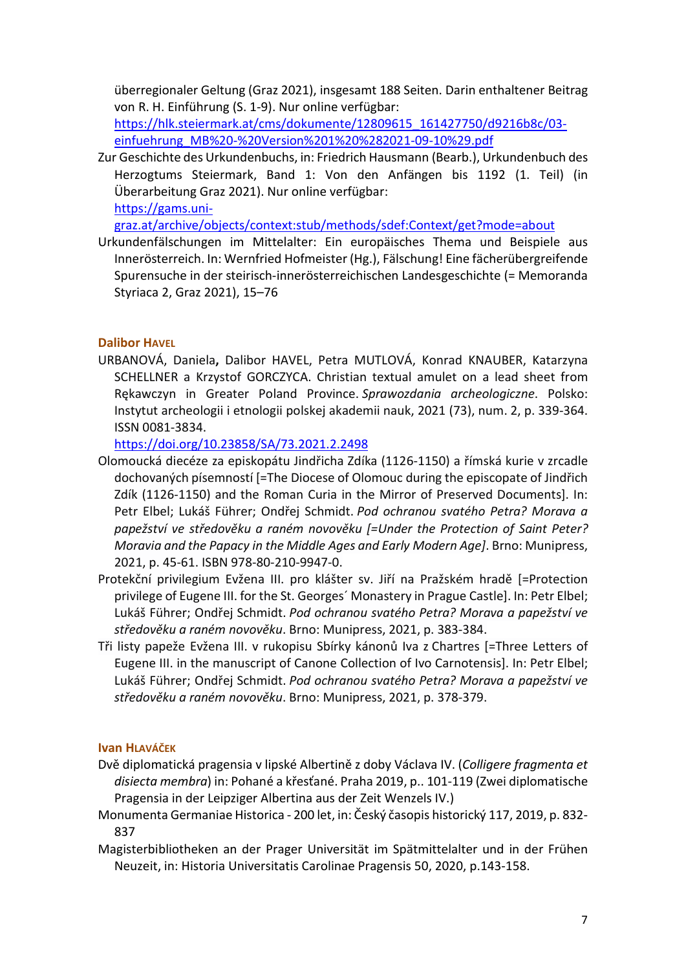überregionaler Geltung (Graz 2021), insgesamt 188 Seiten. Darin enthaltener Beitrag von R. H. Einführung (S. 1-9). Nur online verfügbar:

https://hlk.steiermark.at/cms/dokumente/12809615\_161427750/d9216b8c/03 einfuehrung\_MB%20-%20Version%201%20%282021-09-10%29.pdf

Zur Geschichte des Urkundenbuchs, in: Friedrich Hausmann (Bearb.), Urkundenbuch des Herzogtums Steiermark, Band 1: Von den Anfängen bis 1192 (1. Teil) (in Überarbeitung Graz 2021). Nur online verfügbar: https://gams.uni-

graz.at/archive/objects/context:stub/methods/sdef:Context/get?mode=about

Urkundenfälschungen im Mittelalter: Ein europäisches Thema und Beispiele aus Innerösterreich. In: Wernfried Hofmeister (Hg.), Fälschung! Eine fächerübergreifende Spurensuche in der steirisch-innerösterreichischen Landesgeschichte (= Memoranda Styriaca 2, Graz 2021), 15–76

## Dalibor HAVEL

URBANOVÁ, Daniela, Dalibor HAVEL, Petra MUTLOVÁ, Konrad KNAUBER, Katarzyna SCHELLNER a Krzystof GORCZYCA. Christian textual amulet on a lead sheet from Rękawczyn in Greater Poland Province. Sprawozdania archeologiczne. Polsko: Instytut archeologii i etnologii polskej akademii nauk, 2021 (73), num. 2, p. 339-364. ISSN 0081-3834.

https://doi.org/10.23858/SA/73.2021.2.2498

- Olomoucká diecéze za episkopátu Jindřicha Zdíka (1126-1150) a římská kurie v zrcadle dochovaných písemností [=The Diocese of Olomouc during the episcopate of Jindřich Zdík (1126-1150) and the Roman Curia in the Mirror of Preserved Documents]. In: Petr Elbel; Lukáš Führer; Ondřej Schmidt. Pod ochranou svatého Petra? Morava a papežství ve středověku a raném novověku [=Under the Protection of Saint Peter? Moravia and the Papacy in the Middle Ages and Early Modern Age]. Brno: Munipress, 2021, p. 45-61. ISBN 978-80-210-9947-0.
- Protekční privilegium Evžena III. pro klášter sv. Jiří na Pražském hradě [=Protection privilege of Eugene III. for the St. Georges´ Monastery in Prague Castle]. In: Petr Elbel; Lukáš Führer; Ondřej Schmidt. Pod ochranou svatého Petra? Morava a papežství ve středověku a raném novověku. Brno: Munipress, 2021, p. 383-384.
- Tři listy papeže Evžena III. v rukopisu Sbírky kánonů Iva z Chartres [=Three Letters of Eugene III. in the manuscript of Canone Collection of Ivo Carnotensis]. In: Petr Elbel; Lukáš Führer; Ondřej Schmidt. Pod ochranou svatého Petra? Morava a papežství ve středověku a raném novověku. Brno: Munipress, 2021, p. 378-379.

## Ivan HLAVÁČEK

- Dvě diplomatická pragensia v lipské Albertině z doby Václava IV. (Colligere fragmenta et disiecta membra) in: Pohané a křesťané. Praha 2019, p.. 101-119 (Zwei diplomatische Pragensia in der Leipziger Albertina aus der Zeit Wenzels IV.)
- Monumenta Germaniae Historica 200 let, in: Český časopis historický 117, 2019, p. 832- 837
- Magisterbibliotheken an der Prager Universität im Spätmittelalter und in der Frühen Neuzeit, in: Historia Universitatis Carolinae Pragensis 50, 2020, p.143-158.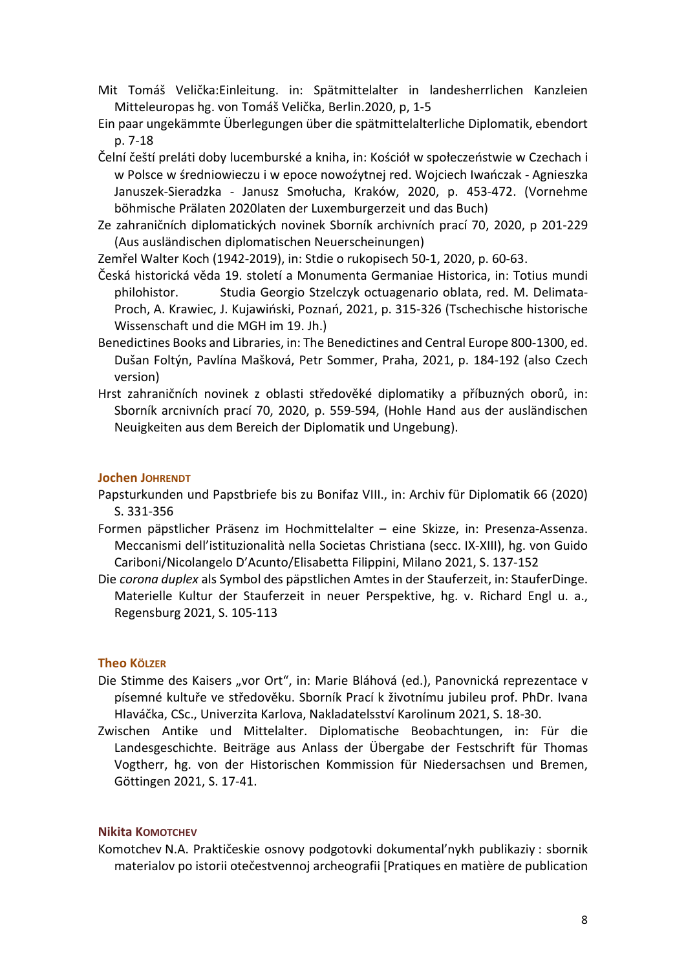- Mit Tomáš Velička:Einleitung. in: Spätmittelalter in landesherrlichen Kanzleien Mitteleuropas hg. von Tomáš Velička, Berlin.2020, p, 1-5
- Ein paar ungekämmte Überlegungen über die spätmittelalterliche Diplomatik, ebendort p. 7-18
- Čelní čeští preláti doby lucemburské a kniha, in: Kościół w społeczeństwie w Czechach i w Polsce w średniowieczu i w epoce nowoźytnej red. Wojciech Iwańczak - Agnieszka Januszek-Sieradzka - Janusz Smołucha, Kraków, 2020, p. 453-472. (Vornehme böhmische Prälaten 2020laten der Luxemburgerzeit und das Buch)
- Ze zahraničních diplomatických novinek Sborník archivních prací 70, 2020, p 201-229 (Aus ausländischen diplomatischen Neuerscheinungen)
- Zemřel Walter Koch (1942-2019), in: Stdie o rukopisech 50-1, 2020, p. 60-63.
- Česká historická věda 19. století a Monumenta Germaniae Historica, in: Totius mundi philohistor. Studia Georgio Stzelczyk octuagenario oblata, red. M. Delimata-Proch, A. Krawiec, J. Kujawiński, Poznań, 2021, p. 315-326 (Tschechische historische Wissenschaft und die MGH im 19. Jh.)
- Benedictines Books and Libraries, in: The Benedictines and Central Europe 800-1300, ed. Dušan Foltýn, Pavlína Mašková, Petr Sommer, Praha, 2021, p. 184-192 (also Czech version)
- Hrst zahraničních novinek z oblasti středověké diplomatiky a příbuzných oborů, in: Sborník arcnivních prací 70, 2020, p. 559-594, (Hohle Hand aus der ausländischen Neuigkeiten aus dem Bereich der Diplomatik und Ungebung).

### Jochen JOHRENDT

- Papsturkunden und Papstbriefe bis zu Bonifaz VIII., in: Archiv für Diplomatik 66 (2020) S. 331-356
- Formen päpstlicher Präsenz im Hochmittelalter eine Skizze, in: Presenza-Assenza. Meccanismi dell'istituzionalità nella Societas Christiana (secc. IX-XIII), hg. von Guido Cariboni/Nicolangelo D'Acunto/Elisabetta Filippini, Milano 2021, S. 137-152
- Die corona duplex als Symbol des päpstlichen Amtes in der Stauferzeit, in: StauferDinge. Materielle Kultur der Stauferzeit in neuer Perspektive, hg. v. Richard Engl u. a., Regensburg 2021, S. 105-113

## **Theo KÖLZER**

- Die Stimme des Kaisers "vor Ort", in: Marie Bláhová (ed.), Panovnická reprezentace v písemné kultuře ve středověku. Sborník Prací k životnímu jubileu prof. PhDr. Ivana Hlaváčka, CSc., Univerzita Karlova, Nakladatelsství Karolinum 2021, S. 18-30.
- Zwischen Antike und Mittelalter. Diplomatische Beobachtungen, in: Für die Landesgeschichte. Beiträge aus Anlass der Übergabe der Festschrift für Thomas Vogtherr, hg. von der Historischen Kommission für Niedersachsen und Bremen, Göttingen 2021, S. 17-41.

#### Nikita KOMOTCHEV

Komotchev N.A. Praktičeskie osnovy podgotovki dokumental'nykh publikaziy : sbornik materialov po istorii otečestvennoj archeografii [Pratiques en matière de publication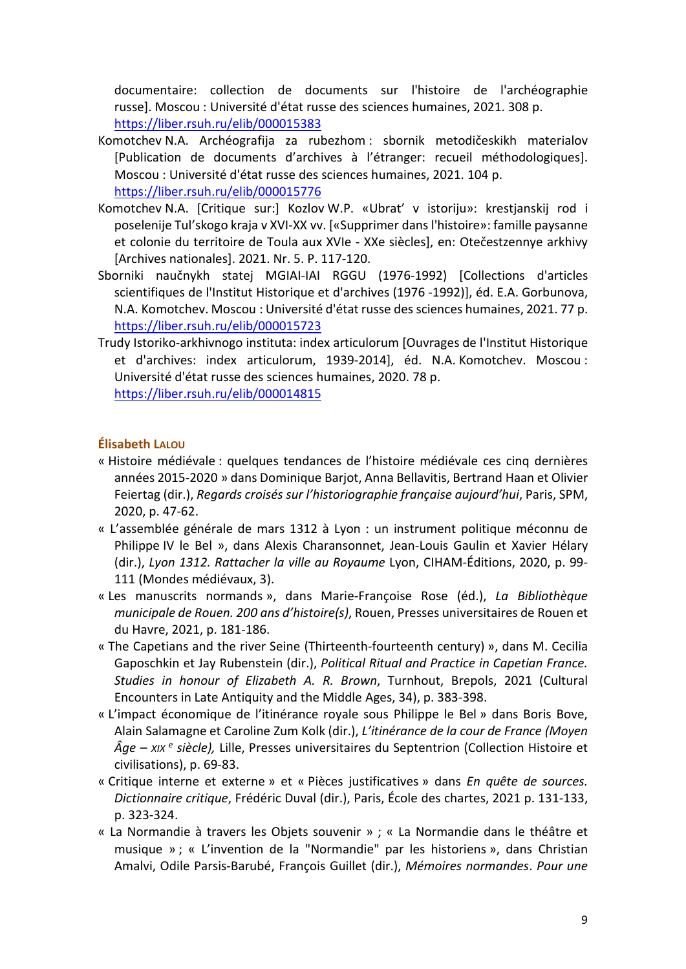documentaire: collection de documents sur l'histoire de l'archéographie russe]. Moscou : Université d'état russe des sciences humaines, 2021. 308 p. https://liber.rsuh.ru/elib/000015383

- Komotchev N.A. Archéografija za rubezhom : sbornik metodičeskikh materialov [Publication de documents d'archives à l'étranger: recueil méthodologiques]. Moscou : Université d'état russe des sciences humaines, 2021. 104 p. https://liber.rsuh.ru/elib/000015776
- Komotchev N.A. [Critique sur:] Kozlov W.P. «Ubrat' v istoriju»: krestjanskij rod i poselenije Tul'skogo kraja v XVI-XX vv. [«Supprimer dans l'histoire»: famille paysanne et colonie du territoire de Toula aux XVIe - XXe siècles], en: Otečestzennye arkhivy [Archives nationales]. 2021. Nr. 5. P. 117-120.
- Sborniki naučnykh statej MGIAI-IAI RGGU (1976-1992) [Collections d'articles scientifiques de l'Institut Historique et d'archives (1976 -1992)], éd. E.A. Gorbunova, N.A. Komotchev. Moscou : Université d'état russe des sciences humaines, 2021. 77 p. https://liber.rsuh.ru/elib/000015723
- Trudy Istoriko-arkhivnogo instituta: index articulorum [Ouvrages de l'Institut Historique et d'archives: index articulorum, 1939-2014], éd. N.A. Komotchev. Moscou : Université d'état russe des sciences humaines, 2020. 78 p. https://liber.rsuh.ru/elib/000014815

## Élisabeth LALOU

- « Histoire médiévale : quelques tendances de l'histoire médiévale ces cinq dernières années 2015-2020 » dans Dominique Barjot, Anna Bellavitis, Bertrand Haan et Olivier Feiertag (dir.), Regards croisés sur l'historiographie française aujourd'hui, Paris, SPM, 2020, p. 47-62.
- « L'assemblée générale de mars 1312 à Lyon : un instrument politique méconnu de Philippe IV le Bel », dans Alexis Charansonnet, Jean-Louis Gaulin et Xavier Hélary (dir.), Lyon 1312. Rattacher la ville au Royaume Lyon, CIHAM-Éditions, 2020, p. 99- 111 (Mondes médiévaux, 3).
- « Les manuscrits normands », dans Marie-Françoise Rose (éd.), La Bibliothèque municipale de Rouen. 200 ans d'histoire(s), Rouen, Presses universitaires de Rouen et du Havre, 2021, p. 181-186.
- « The Capetians and the river Seine (Thirteenth-fourteenth century) », dans M. Cecilia Gaposchkin et Jay Rubenstein (dir.), Political Ritual and Practice in Capetian France. Studies in honour of Elizabeth A. R. Brown, Turnhout, Brepols, 2021 (Cultural Encounters in Late Antiquity and the Middle Ages, 34), p. 383-398.
- « L'impact économique de l'itinérance royale sous Philippe le Bel » dans Boris Bove, Alain Salamagne et Caroline Zum Kolk (dir.), L'itinérance de la cour de France (Moyen  $\hat{A}$ ge – xix <sup>e</sup> siècle), Lille, Presses universitaires du Septentrion (Collection Histoire et civilisations), p. 69-83.
- « Critique interne et externe » et « Pièces justificatives » dans En quête de sources. Dictionnaire critique, Frédéric Duval (dir.), Paris, École des chartes, 2021 p. 131-133, p. 323-324.
- « La Normandie à travers les Objets souvenir » ; « La Normandie dans le théâtre et musique » ; « L'invention de la "Normandie" par les historiens », dans Christian Amalvi, Odile Parsis-Barubé, François Guillet (dir.), Mémoires normandes. Pour une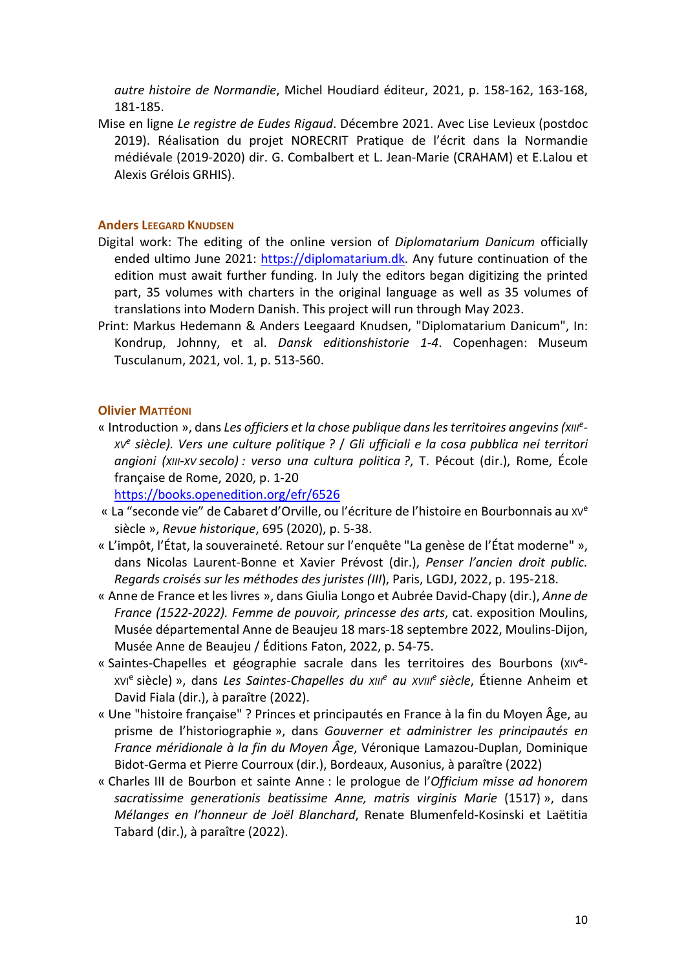autre histoire de Normandie, Michel Houdiard éditeur, 2021, p. 158-162, 163-168, 181-185.

Mise en ligne Le registre de Eudes Rigaud. Décembre 2021. Avec Lise Levieux (postdoc 2019). Réalisation du projet NORECRIT Pratique de l'écrit dans la Normandie médiévale (2019-2020) dir. G. Combalbert et L. Jean-Marie (CRAHAM) et E.Lalou et Alexis Grélois GRHIS).

#### Anders LEEGARD KNUDSEN

- Digital work: The editing of the online version of Diplomatarium Danicum officially ended ultimo June 2021: https://diplomatarium.dk. Any future continuation of the edition must await further funding. In July the editors began digitizing the printed part, 35 volumes with charters in the original language as well as 35 volumes of translations into Modern Danish. This project will run through May 2023.
- Print: Markus Hedemann & Anders Leegaard Knudsen, "Diplomatarium Danicum", In: Kondrup, Johnny, et al. Dansk editionshistorie 1-4. Copenhagen: Museum Tusculanum, 2021, vol. 1, p. 513-560.

## Olivier MATTÉONI

« Introduction », dans Les officiers et la chose publique dans les territoires angevins (xille-XV<sup>e</sup> siècle). Vers une culture politique ? / Gli ufficiali e la cosa pubblica nei territori angioni (XIII-XV secolo) : verso una cultura politica ?, T. Pécout (dir.), Rome, École française de Rome, 2020, p. 1-20

https://books.openedition.org/efr/6526

- « La "seconde vie" de Cabaret d'Orville, ou l'écriture de l'histoire en Bourbonnais au XV<sup>e</sup> siècle », Revue historique, 695 (2020), p. 5-38.
- « L'impôt, l'État, la souveraineté. Retour sur l'enquête "La genèse de l'État moderne" », dans Nicolas Laurent-Bonne et Xavier Prévost (dir.), Penser l'ancien droit public. Regards croisés sur les méthodes des juristes (III), Paris, LGDJ, 2022, p. 195-218.
- « Anne de France et les livres », dans Giulia Longo et Aubrée David-Chapy (dir.), Anne de France (1522-2022). Femme de pouvoir, princesse des arts, cat. exposition Moulins, Musée départemental Anne de Beaujeu 18 mars-18 septembre 2022, Moulins-Dijon, Musée Anne de Beaujeu / Éditions Faton, 2022, p. 54-75.
- « Saintes-Chapelles et géographie sacrale dans les territoires des Bourbons (xIVexvi<sup>e</sup> siècle) », dans *Les Saintes-Chapelles du xill<sup>e</sup> au xvill<sup>e</sup> siècle*, Étienne Anheim et David Fiala (dir.), à paraître (2022).
- « Une "histoire française" ? Princes et principautés en France à la fin du Moyen Âge, au prisme de l'historiographie », dans Gouverner et administrer les principautés en France méridionale à la fin du Moyen Âge, Véronique Lamazou-Duplan, Dominique Bidot-Germa et Pierre Courroux (dir.), Bordeaux, Ausonius, à paraître (2022)
- « Charles III de Bourbon et sainte Anne : le prologue de l'Officium misse ad honorem sacratissime generationis beatissime Anne, matris virginis Marie (1517) », dans Mélanges en l'honneur de Joël Blanchard, Renate Blumenfeld-Kosinski et Laëtitia Tabard (dir.), à paraître (2022).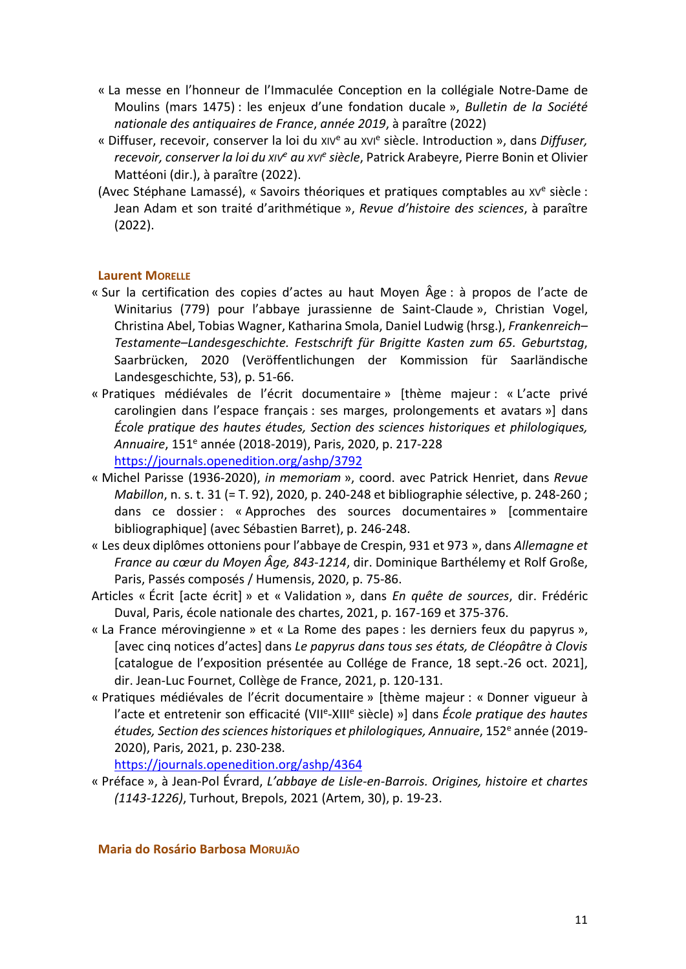- « La messe en l'honneur de l'Immaculée Conception en la collégiale Notre-Dame de Moulins (mars 1475) : les enjeux d'une fondation ducale », Bulletin de la Société nationale des antiquaires de France, année 2019, à paraître (2022)
- « Diffuser, recevoir, conserver la loi du xiv<sup>e</sup> au xvie siècle. Introduction », dans Diffuser, recevoir, conserver la loi du xiv<sup>e</sup> au xvi<sup>e</sup> siècle, Patrick Arabeyre, Pierre Bonin et Olivier Mattéoni (dir.), à paraître (2022).
- (Avec Stéphane Lamassé), « Savoirs théoriques et pratiques comptables au xv<sup>e</sup> siècle : Jean Adam et son traité d'arithmétique », Revue d'histoire des sciences, à paraître (2022).

## Laurent MORELLE

- « Sur la certification des copies d'actes au haut Moyen Âge : à propos de l'acte de Winitarius (779) pour l'abbaye jurassienne de Saint-Claude », Christian Vogel, Christina Abel, Tobias Wagner, Katharina Smola, Daniel Ludwig (hrsg.), Frankenreich– Testamente–Landesgeschichte. Festschrift für Brigitte Kasten zum 65. Geburtstag, Saarbrücken, 2020 (Veröffentlichungen der Kommission für Saarländische Landesgeschichte, 53), p. 51-66.
- « Pratiques médiévales de l'écrit documentaire » [thème majeur : « L'acte privé carolingien dans l'espace français : ses marges, prolongements et avatars »] dans École pratique des hautes études, Section des sciences historiques et philologiques, Annuaire, 151<sup>e</sup> année (2018-2019), Paris, 2020, p. 217-228 https://journals.openedition.org/ashp/3792
- « Michel Parisse (1936-2020), in memoriam », coord. avec Patrick Henriet, dans Revue Mabillon, n. s. t. 31 (= T. 92), 2020, p. 240-248 et bibliographie sélective, p. 248-260 ; dans ce dossier : « Approches des sources documentaires » [commentaire bibliographique] (avec Sébastien Barret), p. 246-248.
- « Les deux diplômes ottoniens pour l'abbaye de Crespin, 931 et 973 », dans Allemagne et France au cœur du Moyen Âge, 843-1214, dir. Dominique Barthélemy et Rolf Große, Paris, Passés composés / Humensis, 2020, p. 75-86.
- Articles « Écrit [acte écrit] » et « Validation », dans En quête de sources, dir. Frédéric Duval, Paris, école nationale des chartes, 2021, p. 167-169 et 375-376.
- « La France mérovingienne » et « La Rome des papes : les derniers feux du papyrus », [avec cinq notices d'actes] dans Le papyrus dans tous ses états, de Cléopâtre à Clovis [catalogue de l'exposition présentée au Collége de France, 18 sept.-26 oct. 2021], dir. Jean-Luc Fournet, Collège de France, 2021, p. 120-131.
- « Pratiques médiévales de l'écrit documentaire » [thème majeur : « Donner vigueur à l'acte et entretenir son efficacité (VII<sup>e</sup>-XIII<sup>e</sup> siècle) »] dans *École pratique des hautes* études, Section des sciences historiques et philologiques, Annuaire, 152<sup>e</sup> année (2019-2020), Paris, 2021, p. 230-238.

https://journals.openedition.org/ashp/4364

« Préface », à Jean-Pol Évrard, L'abbaye de Lisle-en-Barrois. Origines, histoire et chartes (1143-1226), Turhout, Brepols, 2021 (Artem, 30), p. 19-23.

Maria do Rosário Barbosa MORUJÃO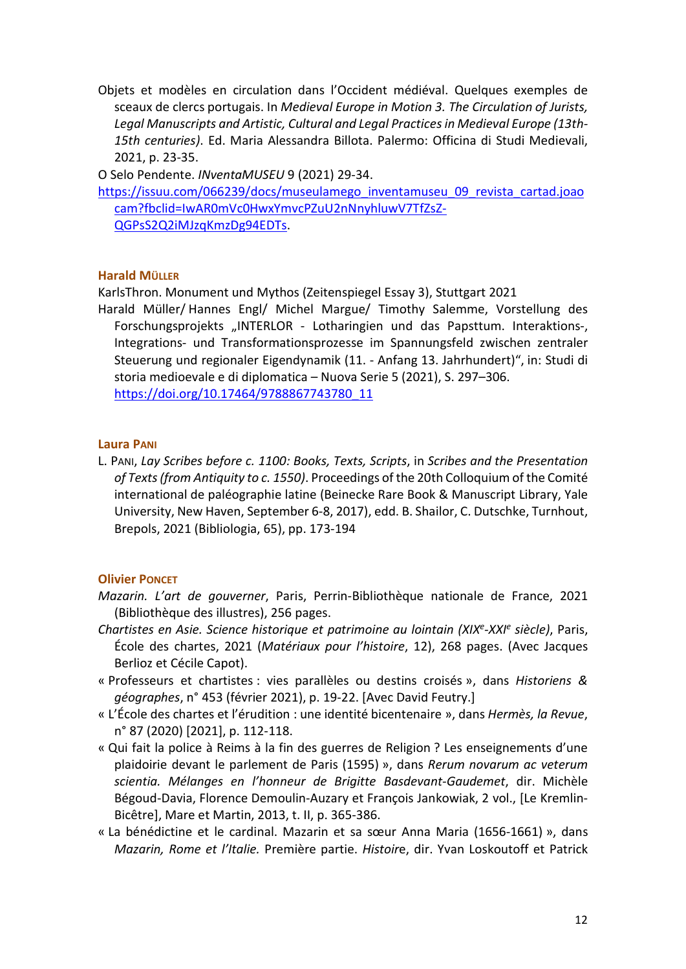Objets et modèles en circulation dans l'Occident médiéval. Quelques exemples de sceaux de clercs portugais. In Medieval Europe in Motion 3. The Circulation of Jurists, Legal Manuscripts and Artistic, Cultural and Legal Practices in Medieval Europe (13th-15th centuries). Ed. Maria Alessandra Billota. Palermo: Officina di Studi Medievali, 2021, p. 23-35.

O Selo Pendente. INventaMUSEU 9 (2021) 29-34.

https://issuu.com/066239/docs/museulamego\_inventamuseu\_09\_revista\_cartad.joao cam?fbclid=IwAR0mVc0HwxYmvcPZuU2nNnyhluwV7TfZsZ-QGPsS2Q2iMJzqKmzDg94EDTs.

## Harald MÜLLER

KarlsThron. Monument und Mythos (Zeitenspiegel Essay 3), Stuttgart 2021

Harald Müller/ Hannes Engl/ Michel Margue/ Timothy Salemme, Vorstellung des Forschungsprojekts "INTERLOR - Lotharingien und das Papsttum. Interaktions-, Integrations- und Transformationsprozesse im Spannungsfeld zwischen zentraler Steuerung und regionaler Eigendynamik (11. - Anfang 13. Jahrhundert)", in: Studi di storia medioevale e di diplomatica – Nuova Serie 5 (2021), S. 297–306. https://doi.org/10.17464/9788867743780\_11

## Laura PANI

L. PANI, Lay Scribes before c. 1100: Books, Texts, Scripts, in Scribes and the Presentation of Texts (from Antiquity to c. 1550). Proceedings of the 20th Colloquium of the Comité international de paléographie latine (Beinecke Rare Book & Manuscript Library, Yale University, New Haven, September 6-8, 2017), edd. B. Shailor, C. Dutschke, Turnhout, Brepols, 2021 (Bibliologia, 65), pp. 173-194

## Olivier PONCET

- Mazarin. L'art de gouverner, Paris, Perrin-Bibliothèque nationale de France, 2021 (Bibliothèque des illustres), 256 pages.
- Chartistes en Asie. Science historique et patrimoine au lointain (XIX<sup>e</sup>-XXI<sup>e</sup> siècle), Paris, École des chartes, 2021 (Matériaux pour l'histoire, 12), 268 pages. (Avec Jacques Berlioz et Cécile Capot).
- « Professeurs et chartistes : vies parallèles ou destins croisés », dans Historiens & géographes, n° 453 (février 2021), p. 19-22. [Avec David Feutry.]
- « L'École des chartes et l'érudition : une identité bicentenaire », dans Hermès, la Revue, n° 87 (2020) [2021], p. 112-118.
- « Qui fait la police à Reims à la fin des guerres de Religion ? Les enseignements d'une plaidoirie devant le parlement de Paris (1595) », dans Rerum novarum ac veterum scientia. Mélanges en l'honneur de Brigitte Basdevant-Gaudemet, dir. Michèle Bégoud-Davia, Florence Demoulin-Auzary et François Jankowiak, 2 vol., [Le Kremlin-Bicêtre], Mare et Martin, 2013, t. II, p. 365-386.
- « La bénédictine et le cardinal. Mazarin et sa sœur Anna Maria (1656-1661) », dans Mazarin, Rome et l'Italie. Première partie. Histoire, dir. Yvan Loskoutoff et Patrick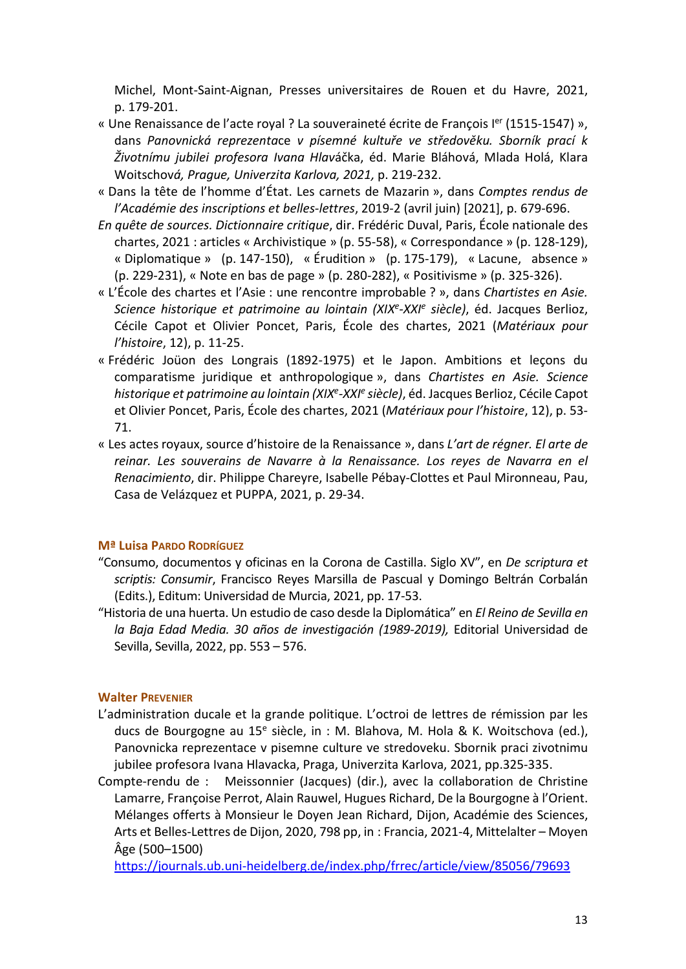Michel, Mont-Saint-Aignan, Presses universitaires de Rouen et du Havre, 2021, p. 179-201.

- « Une Renaissance de l'acte royal ? La souveraineté écrite de François I<sup>er</sup> (1515-1547) », dans Panovnická reprezentace v písemné kultuře ve středověku. Sborník prací k Životnímu jubilei profesora Ivana Hlaváčka, éd. Marie Bláhová, Mlada Holá, Klara Woitschová, Prague, Univerzita Karlova, 2021, p. 219-232.
- « Dans la tête de l'homme d'État. Les carnets de Mazarin », dans Comptes rendus de l'Académie des inscriptions et belles-lettres, 2019-2 (avril juin) [2021], p. 679-696.
- En quête de sources. Dictionnaire critique, dir. Frédéric Duval, Paris, École nationale des chartes, 2021 : articles « Archivistique » (p. 55-58), « Correspondance » (p. 128-129), « Diplomatique » (p. 147-150), « Érudition » (p. 175-179), « Lacune, absence » (p. 229-231), « Note en bas de page » (p. 280-282), « Positivisme » (p. 325-326).
- « L'École des chartes et l'Asie : une rencontre improbable ? », dans Chartistes en Asie. Science historique et patrimoine au lointain (XIX<sup>e</sup>-XXI<sup>e</sup> siècle), éd. Jacques Berlioz, Cécile Capot et Olivier Poncet, Paris, École des chartes, 2021 (Matériaux pour l'histoire, 12), p. 11-25.
- « Frédéric Joüon des Longrais (1892-1975) et le Japon. Ambitions et leçons du comparatisme juridique et anthropologique », dans Chartistes en Asie. Science historique et patrimoine au lointain (XIX<sup>e</sup>-XXI<sup>e</sup> siècle), éd. Jacques Berlioz, Cécile Capot et Olivier Poncet, Paris, École des chartes, 2021 (Matériaux pour l'histoire, 12), p. 53- 71.
- « Les actes royaux, source d'histoire de la Renaissance », dans L'art de régner. El arte de reinar. Les souverains de Navarre à la Renaissance. Los reyes de Navarra en el Renacimiento, dir. Philippe Chareyre, Isabelle Pébay-Clottes et Paul Mironneau, Pau, Casa de Velázquez et PUPPA, 2021, p. 29-34.

## Mª Luisa PARDO RODRÍGUEZ

- "Consumo, documentos y oficinas en la Corona de Castilla. Siglo XV", en De scriptura et scriptis: Consumir, Francisco Reyes Marsilla de Pascual y Domingo Beltrán Corbalán (Edits.), Editum: Universidad de Murcia, 2021, pp. 17-53.
- "Historia de una huerta. Un estudio de caso desde la Diplomática" en El Reino de Sevilla en la Baja Edad Media. 30 años de investigación (1989-2019), Editorial Universidad de Sevilla, Sevilla, 2022, pp. 553 – 576.

## Walter PREVENIER

- L'administration ducale et la grande politique. L'octroi de lettres de rémission par les ducs de Bourgogne au 15<sup>e</sup> siècle, in : M. Blahova, M. Hola & K. Woitschova (ed.), Panovnicka reprezentace v pisemne culture ve stredoveku. Sbornik praci zivotnimu jubilee profesora Ivana Hlavacka, Praga, Univerzita Karlova, 2021, pp.325-335.
- Compte-rendu de : Meissonnier (Jacques) (dir.), avec la collaboration de Christine Lamarre, Françoise Perrot, Alain Rauwel, Hugues Richard, De la Bourgogne à l'Orient. Mélanges offerts à Monsieur le Doyen Jean Richard, Dijon, Académie des Sciences, Arts et Belles-Lettres de Dijon, 2020, 798 pp, in : Francia, 2021-4, Mittelalter – Moyen Âge (500–1500)

https://journals.ub.uni-heidelberg.de/index.php/frrec/article/view/85056/79693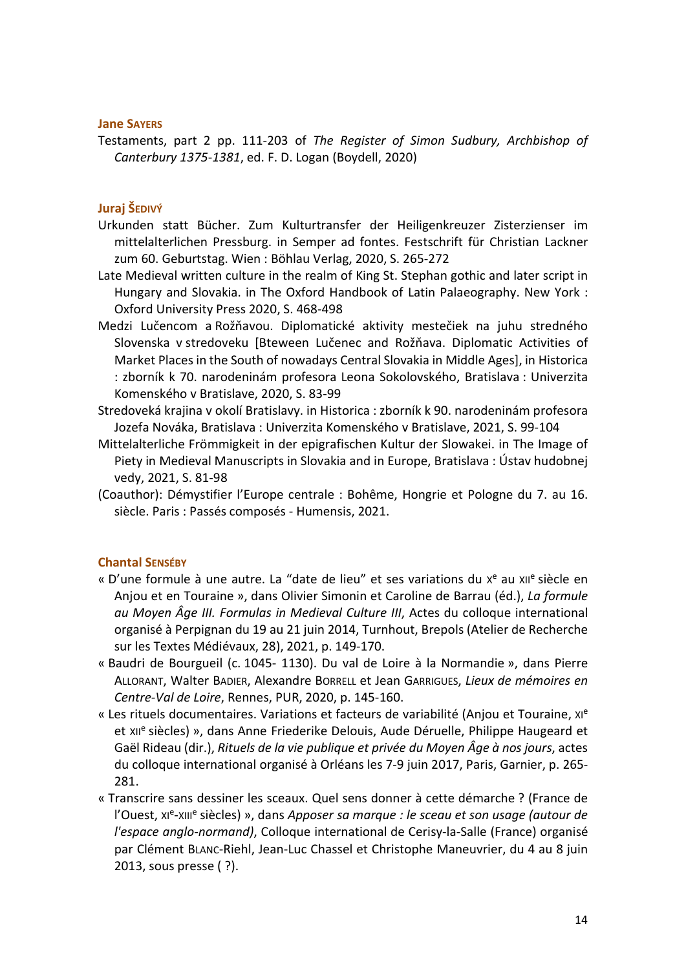#### Jane SAYERS

Testaments, part 2 pp. 111-203 of The Register of Simon Sudbury, Archbishop of Canterbury 1375-1381, ed. F. D. Logan (Boydell, 2020)

## Juraj ŠEDIVÝ

- Urkunden statt Bücher. Zum Kulturtransfer der Heiligenkreuzer Zisterzienser im mittelalterlichen Pressburg. in Semper ad fontes. Festschrift für Christian Lackner zum 60. Geburtstag. Wien : Böhlau Verlag, 2020, S. 265-272
- Late Medieval written culture in the realm of King St. Stephan gothic and later script in Hungary and Slovakia. in The Oxford Handbook of Latin Palaeography. New York : Oxford University Press 2020, S. 468-498
- Medzi Lučencom a Rožňavou. Diplomatické aktivity mestečiek na juhu stredného Slovenska v stredoveku [Bteween Lučenec and Rožňava. Diplomatic Activities of Market Places in the South of nowadays Central Slovakia in Middle Ages], in Historica : zborník k 70. narodeninám profesora Leona Sokolovského, Bratislava : Univerzita Komenského v Bratislave, 2020, S. 83-99
- Stredoveká krajina v okolí Bratislavy. in Historica : zborník k 90. narodeninám profesora Jozefa Nováka, Bratislava : Univerzita Komenského v Bratislave, 2021, S. 99-104
- Mittelalterliche Frömmigkeit in der epigrafischen Kultur der Slowakei. in The Image of Piety in Medieval Manuscripts in Slovakia and in Europe, Bratislava : Ústav hudobnej vedy, 2021, S. 81-98
- (Coauthor): Démystifier l'Europe centrale : Bohême, Hongrie et Pologne du 7. au 16. siècle. Paris : Passés composés - Humensis, 2021.

## Chantal SENSÉBY

- « D'une formule à une autre. La "date de lieu" et ses variations du x<sup>e</sup> au xil<sup>e</sup> siècle en Anjou et en Touraine », dans Olivier Simonin et Caroline de Barrau (éd.), La formule au Moyen Âge III. Formulas in Medieval Culture III, Actes du colloque international organisé à Perpignan du 19 au 21 juin 2014, Turnhout, Brepols (Atelier de Recherche sur les Textes Médiévaux, 28), 2021, p. 149-170.
- « Baudri de Bourgueil (c. 1045- 1130). Du val de Loire à la Normandie », dans Pierre ALLORANT, Walter BADIER, Alexandre BORRELL et Jean GARRIGUES, Lieux de mémoires en Centre-Val de Loire, Rennes, PUR, 2020, p. 145-160.
- « Les rituels documentaires. Variations et facteurs de variabilité (Anjou et Touraine, xie et xile siècles) », dans Anne Friederike Delouis, Aude Déruelle, Philippe Haugeard et Gaël Rideau (dir.), Rituels de la vie publique et privée du Moyen Âge à nos jours, actes du colloque international organisé à Orléans les 7-9 juin 2017, Paris, Garnier, p. 265- 281.
- « Transcrire sans dessiner les sceaux. Quel sens donner à cette démarche ? (France de l'Ouest, xi<sup>e</sup>-xill<sup>e</sup> siècles) », dans Apposer sa marque : le sceau et son usage (autour de l'espace anglo-normand), Colloque international de Cerisy-la-Salle (France) organisé par Clément BLANC-Riehl, Jean-Luc Chassel et Christophe Maneuvrier, du 4 au 8 juin 2013, sous presse ( ?).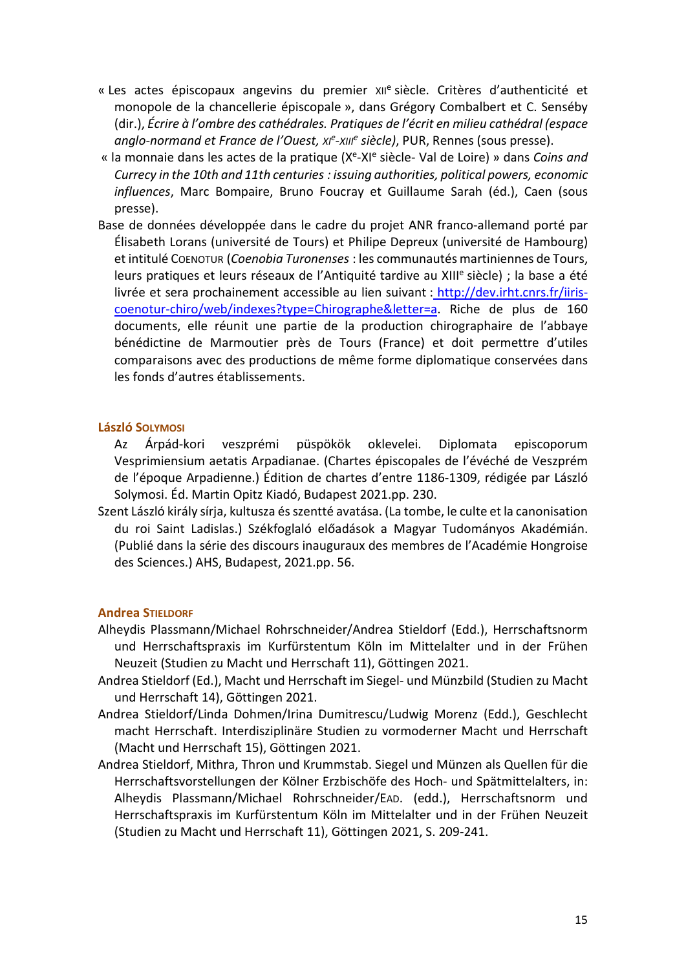- « Les actes épiscopaux angevins du premier xile siècle. Critères d'authenticité et monopole de la chancellerie épiscopale », dans Grégory Combalbert et C. Senséby (dir.), Écrire à l'ombre des cathédrales. Pratiques de l'écrit en milieu cathédral (espace anglo-normand et France de l'Ouest, xie-xille siècle), PUR, Rennes (sous presse).
- « la monnaie dans les actes de la pratique (X<sup>e</sup>-XI<sup>e</sup> siècle- Val de Loire) » dans Coins and Currecy in the 10th and 11th centuries : issuing authorities, political powers, economic influences, Marc Bompaire, Bruno Foucray et Guillaume Sarah (éd.), Caen (sous presse).
- Base de données développée dans le cadre du projet ANR franco-allemand porté par Élisabeth Lorans (université de Tours) et Philipe Depreux (université de Hambourg) et intitulé COENOTUR (Coenobia Turonenses : les communautés martiniennes de Tours, leurs pratiques et leurs réseaux de l'Antiquité tardive au XIII<sup>e</sup> siècle) ; la base a été livrée et sera prochainement accessible au lien suivant : http://dev.irht.cnrs.fr/iiriscoenotur-chiro/web/indexes?type=Chirographe&letter=a. Riche de plus de 160 documents, elle réunit une partie de la production chirographaire de l'abbaye bénédictine de Marmoutier près de Tours (France) et doit permettre d'utiles comparaisons avec des productions de même forme diplomatique conservées dans les fonds d'autres établissements.

### László SOLYMOSI

Az Árpád-kori veszprémi püspökök oklevelei. Diplomata episcoporum Vesprimiensium aetatis Arpadianae. (Chartes épiscopales de l'évéché de Veszprém de l'époque Arpadienne.) Édition de chartes d'entre 1186-1309, rédigée par László Solymosi. Éd. Martin Opitz Kiadó, Budapest 2021.pp. 230.

Szent László király sírja, kultusza és szentté avatása. (La tombe, le culte et la canonisation du roi Saint Ladislas.) Székfoglaló előadások a Magyar Tudományos Akadémián. (Publié dans la série des discours inauguraux des membres de l'Académie Hongroise des Sciences.) AHS, Budapest, 2021.pp. 56.

#### Andrea STIELDORF

- Alheydis Plassmann/Michael Rohrschneider/Andrea Stieldorf (Edd.), Herrschaftsnorm und Herrschaftspraxis im Kurfürstentum Köln im Mittelalter und in der Frühen Neuzeit (Studien zu Macht und Herrschaft 11), Göttingen 2021.
- Andrea Stieldorf (Ed.), Macht und Herrschaft im Siegel- und Münzbild (Studien zu Macht und Herrschaft 14), Göttingen 2021.
- Andrea Stieldorf/Linda Dohmen/Irina Dumitrescu/Ludwig Morenz (Edd.), Geschlecht macht Herrschaft. Interdisziplinäre Studien zu vormoderner Macht und Herrschaft (Macht und Herrschaft 15), Göttingen 2021.
- Andrea Stieldorf, Mithra, Thron und Krummstab. Siegel und Münzen als Quellen für die Herrschaftsvorstellungen der Kölner Erzbischöfe des Hoch- und Spätmittelalters, in: Alheydis Plassmann/Michael Rohrschneider/EAD. (edd.), Herrschaftsnorm und Herrschaftspraxis im Kurfürstentum Köln im Mittelalter und in der Frühen Neuzeit (Studien zu Macht und Herrschaft 11), Göttingen 2021, S. 209-241.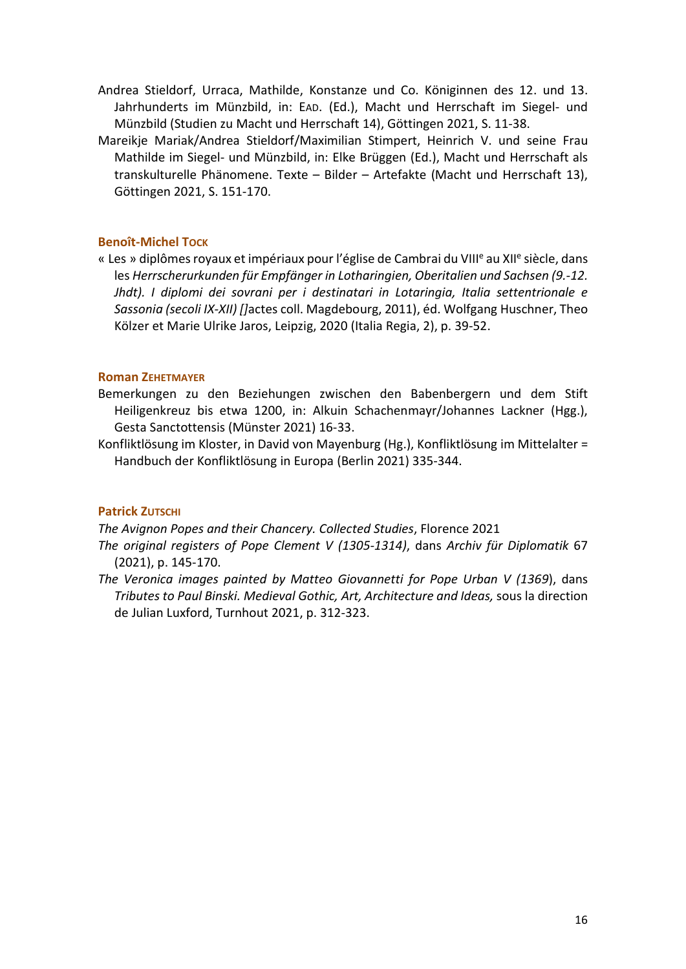- Andrea Stieldorf, Urraca, Mathilde, Konstanze und Co. Königinnen des 12. und 13. Jahrhunderts im Münzbild, in: EAD. (Ed.), Macht und Herrschaft im Siegel- und Münzbild (Studien zu Macht und Herrschaft 14), Göttingen 2021, S. 11-38.
- Mareikje Mariak/Andrea Stieldorf/Maximilian Stimpert, Heinrich V. und seine Frau Mathilde im Siegel- und Münzbild, in: Elke Brüggen (Ed.), Macht und Herrschaft als transkulturelle Phänomene. Texte – Bilder – Artefakte (Macht und Herrschaft 13), Göttingen 2021, S. 151-170.

## Benoît-Michel Tock

« Les » diplômes royaux et impériaux pour l'église de Cambrai du VIII<sup>e</sup> au XII<sup>e</sup> siècle, dans les Herrscherurkunden für Empfänger in Lotharingien, Oberitalien und Sachsen (9.-12. Jhdt). I diplomi dei sovrani per i destinatari in Lotaringia, Italia settentrionale e Sassonia (secoli IX-XII) []actes coll. Magdebourg, 2011), éd. Wolfgang Huschner, Theo Kölzer et Marie Ulrike Jaros, Leipzig, 2020 (Italia Regia, 2), p. 39-52.

## Roman ZEHETMAYER

- Bemerkungen zu den Beziehungen zwischen den Babenbergern und dem Stift Heiligenkreuz bis etwa 1200, in: Alkuin Schachenmayr/Johannes Lackner (Hgg.), Gesta Sanctottensis (Münster 2021) 16-33.
- Konfliktlösung im Kloster, in David von Mayenburg (Hg.), Konfliktlösung im Mittelalter = Handbuch der Konfliktlösung in Europa (Berlin 2021) 335-344.

## Patrick ZUTSCHI

The Avignon Popes and their Chancery. Collected Studies, Florence 2021

- The original registers of Pope Clement V (1305-1314), dans Archiv für Diplomatik 67 (2021), p. 145-170.
- The Veronica images painted by Matteo Giovannetti for Pope Urban V (1369), dans Tributes to Paul Binski. Medieval Gothic, Art, Architecture and Ideas, sous la direction de Julian Luxford, Turnhout 2021, p. 312-323.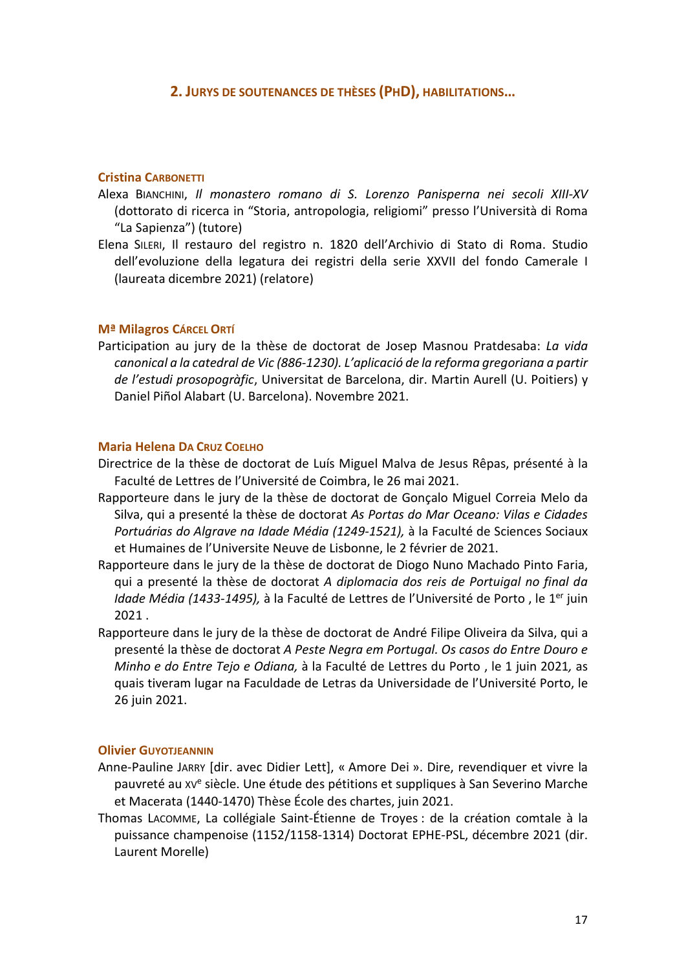## 2. JURYS DE SOUTENANCES DE THÈSES (PHD), HABILITATIONS…

#### Cristina CARBONETTI

- Alexa BIANCHINI, Il monastero romano di S. Lorenzo Panisperna nei secoli XIII-XV (dottorato di ricerca in "Storia, antropologia, religiomi" presso l'Università di Roma "La Sapienza") (tutore)
- Elena SILERI, Il restauro del registro n. 1820 dell'Archivio di Stato di Roma. Studio dell'evoluzione della legatura dei registri della serie XXVII del fondo Camerale I (laureata dicembre 2021) (relatore)

### Mª Milagros CÁRCEL ORTÍ

Participation au jury de la thèse de doctorat de Josep Masnou Pratdesaba: La vida canonical a la catedral de Vic (886-1230). L'aplicació de la reforma gregoriana a partir de l'estudi prosopogràfic, Universitat de Barcelona, dir. Martin Aurell (U. Poitiers) y Daniel Piñol Alabart (U. Barcelona). Novembre 2021.

### Maria Helena DA CRUZ COELHO

- Directrice de la thèse de doctorat de Luís Miguel Malva de Jesus Rêpas, présenté à la Faculté de Lettres de l'Université de Coimbra, le 26 mai 2021.
- Rapporteure dans le jury de la thèse de doctorat de Gonçalo Miguel Correia Melo da Silva, qui a presenté la thèse de doctorat As Portas do Mar Oceano: Vilas e Cidades Portuárias do Algrave na Idade Média (1249-1521), à la Faculté de Sciences Sociaux et Humaines de l'Universite Neuve de Lisbonne, le 2 février de 2021.
- Rapporteure dans le jury de la thèse de doctorat de Diogo Nuno Machado Pinto Faria, qui a presenté la thèse de doctorat A diplomacia dos reis de Portuigal no final da Idade Média (1433-1495), à la Faculté de Lettres de l'Université de Porto, le 1<sup>er</sup> juin 2021 .
- Rapporteure dans le jury de la thèse de doctorat de André Filipe Oliveira da Silva, qui a presenté la thèse de doctorat A Peste Negra em Portugal. Os casos do Entre Douro e Minho e do Entre Tejo e Odiana, à la Faculté de Lettres du Porto , le 1 juin 2021, as quais tiveram lugar na Faculdade de Letras da Universidade de l'Université Porto, le 26 juin 2021.

#### Olivier GUYOTJEANNIN

- Anne-Pauline JARRY [dir. avec Didier Lett], « Amore Dei ». Dire, revendiquer et vivre la pauvreté au xv<sup>e</sup> siècle. Une étude des pétitions et suppliques à San Severino Marche et Macerata (1440-1470) Thèse École des chartes, juin 2021.
- Thomas LACOMME, La collégiale Saint-Étienne de Troyes : de la création comtale à la puissance champenoise (1152/1158-1314) Doctorat EPHE-PSL, décembre 2021 (dir. Laurent Morelle)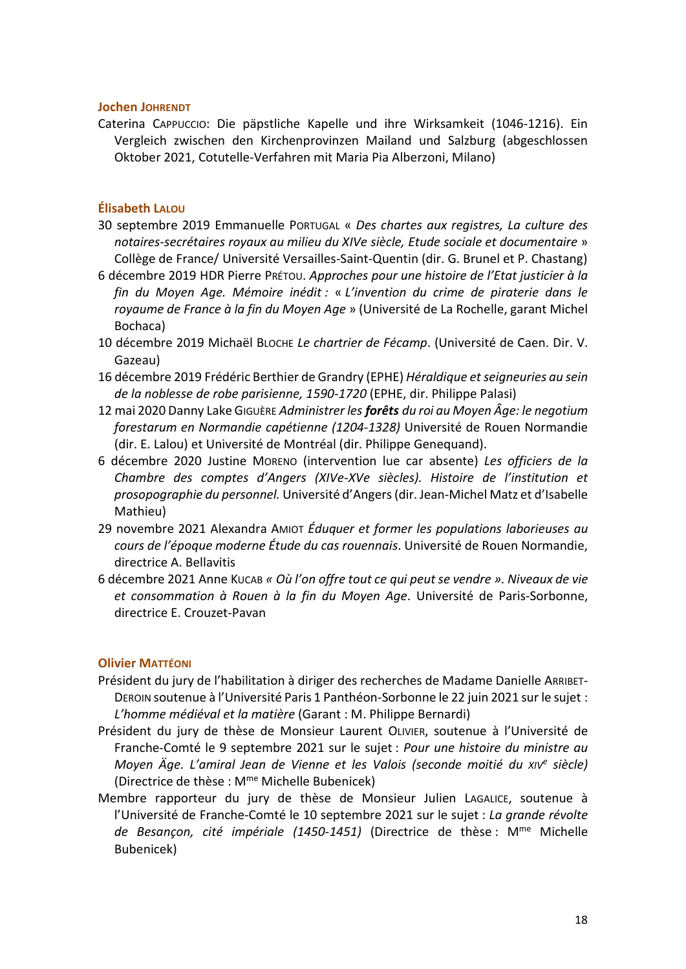### Jochen JOHRENDT

Caterina CAPPUCCIO: Die päpstliche Kapelle und ihre Wirksamkeit (1046-1216). Ein Vergleich zwischen den Kirchenprovinzen Mailand und Salzburg (abgeschlossen Oktober 2021, Cotutelle-Verfahren mit Maria Pia Alberzoni, Milano)

## Élisabeth LALOU

- 30 septembre 2019 Emmanuelle PORTUGAL « Des chartes aux registres, La culture des notaires-secrétaires royaux au milieu du XIVe siècle, Etude sociale et documentaire » Collège de France/ Université Versailles-Saint-Quentin (dir. G. Brunel et P. Chastang)
- 6 décembre 2019 HDR Pierre PRÉTOU. Approches pour une histoire de l'Etat justicier à la fin du Moyen Age. Mémoire inédit : « L'invention du crime de piraterie dans le royaume de France à la fin du Moyen Age » (Université de La Rochelle, garant Michel Bochaca)
- 10 décembre 2019 Michaël BLOCHE Le chartrier de Fécamp. (Université de Caen. Dir. V. Gazeau)
- 16 décembre 2019 Frédéric Berthier de Grandry (EPHE) Héraldique et seigneuries au sein de la noblesse de robe parisienne, 1590-1720 (EPHE, dir. Philippe Palasi)
- 12 mai 2020 Danny Lake GIGUÈRE Administrer les forêts du roi au Moyen Âge: le negotium forestarum en Normandie capétienne (1204-1328) Université de Rouen Normandie (dir. E. Lalou) et Université de Montréal (dir. Philippe Genequand).
- 6 décembre 2020 Justine MORENO (intervention lue car absente) Les officiers de la Chambre des comptes d'Angers (XIVe-XVe siècles). Histoire de l'institution et prosopographie du personnel. Université d'Angers (dir. Jean-Michel Matz et d'Isabelle Mathieu)
- 29 novembre 2021 Alexandra AMIOT Éduquer et former les populations laborieuses au cours de l'époque moderne Étude du cas rouennais. Université de Rouen Normandie, directrice A. Bellavitis
- 6 décembre 2021 Anne KUCAB « Où l'on offre tout ce qui peut se vendre ». Niveaux de vie et consommation à Rouen à la fin du Moyen Age. Université de Paris-Sorbonne, directrice E. Crouzet-Pavan

### Olivier MATTÉONI

- Président du jury de l'habilitation à diriger des recherches de Madame Danielle ARRIBET-DEROIN soutenue à l'Université Paris 1 Panthéon-Sorbonne le 22 juin 2021 sur le sujet : L'homme médiéval et la matière (Garant : M. Philippe Bernardi)
- Président du jury de thèse de Monsieur Laurent OLIVIER, soutenue à l'Université de Franche-Comté le 9 septembre 2021 sur le sujet : Pour une histoire du ministre au Moyen Äge. L'amiral Jean de Vienne et les Valois (seconde moitié du xive siècle) (Directrice de thèse : Mme Michelle Bubenicek)
- Membre rapporteur du jury de thèse de Monsieur Julien LAGALICE, soutenue à l'Université de Franche-Comté le 10 septembre 2021 sur le sujet : La grande révolte de Besançon, cité impériale (1450-1451) (Directrice de thèse : M<sup>me</sup> Michelle Bubenicek)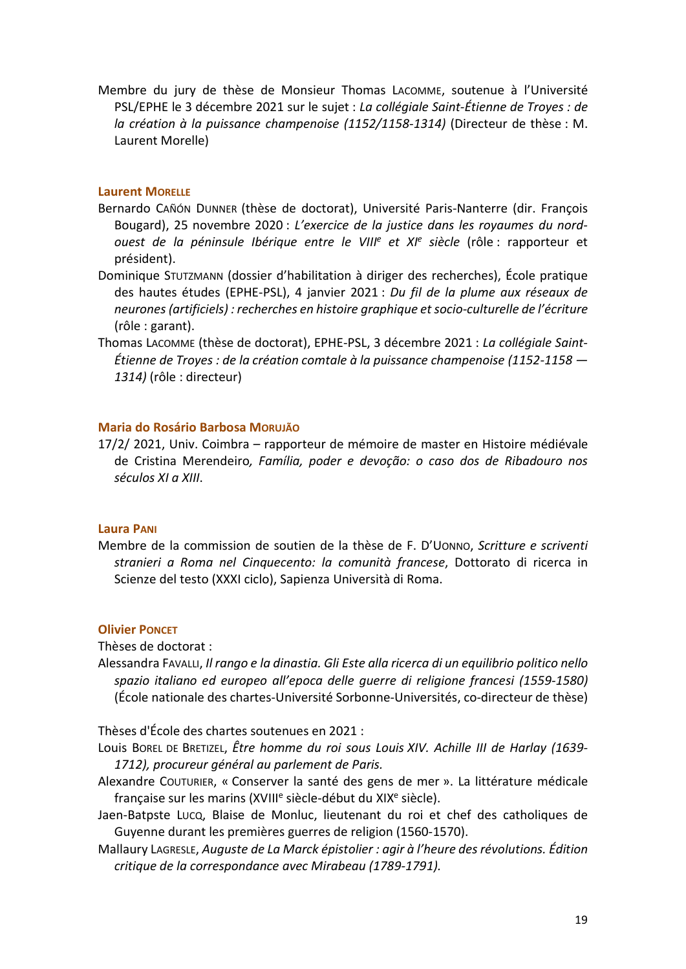Membre du jury de thèse de Monsieur Thomas LACOMME, soutenue à l'Université PSL/EPHE le 3 décembre 2021 sur le sujet : La collégiale Saint-Étienne de Troyes : de la création à la puissance champenoise (1152/1158-1314) (Directeur de thèse : M. Laurent Morelle)

## Laurent MORFLLF

- Bernardo CAÑÓN DUNNER (thèse de doctorat), Université Paris-Nanterre (dir. François Bougard), 25 novembre 2020 : L'exercice de la justice dans les royaumes du nordouest de la péninsule Ibérique entre le VIII<sup>e</sup> et XI<sup>e</sup> siècle (rôle : rapporteur et président).
- Dominique STUTZMANN (dossier d'habilitation à diriger des recherches), École pratique des hautes études (EPHE-PSL), 4 janvier 2021 : Du fil de la plume aux réseaux de neurones (artificiels) : recherches en histoire graphique et socio-culturelle de l'écriture (rôle : garant).
- Thomas LACOMME (thèse de doctorat), EPHE-PSL, 3 décembre 2021 : La collégiale Saint-Étienne de Troyes : de la création comtale à la puissance champenoise (1152-1158 — 1314) (rôle : directeur)

## Maria do Rosário Barbosa MORUJÃO

17/2/ 2021, Univ. Coimbra – rapporteur de mémoire de master en Histoire médiévale de Cristina Merendeiro, Família, poder e devoção: o caso dos de Ribadouro nos séculos XI a XIII.

#### Laura PANI

Membre de la commission de soutien de la thèse de F. D'UONNO, Scritture e scriventi stranieri a Roma nel Cinquecento: la comunità francese, Dottorato di ricerca in Scienze del testo (XXXI ciclo), Sapienza Università di Roma.

#### Olivier PONCET

Thèses de doctorat :

Alessandra FAVALLI, Il rango e la dinastia. Gli Este alla ricerca di un equilibrio politico nello spazio italiano ed europeo all'epoca delle guerre di religione francesi (1559-1580) (École nationale des chartes-Université Sorbonne-Universités, co-directeur de thèse)

Thèses d'École des chartes soutenues en 2021 :

- Louis BOREL DE BRETIZEL, Être homme du roi sous Louis XIV. Achille III de Harlay (1639-1712), procureur général au parlement de Paris.
- Alexandre COUTURIER, « Conserver la santé des gens de mer ». La littérature médicale française sur les marins (XVIII<sup>e</sup> siècle-début du XIX<sup>e</sup> siècle).
- Jaen-Batpste LUCQ, Blaise de Monluc, lieutenant du roi et chef des catholiques de Guyenne durant les premières guerres de religion (1560-1570).
- Mallaury LAGRESLE, Auguste de La Marck épistolier : agir à l'heure des révolutions. Édition critique de la correspondance avec Mirabeau (1789-1791).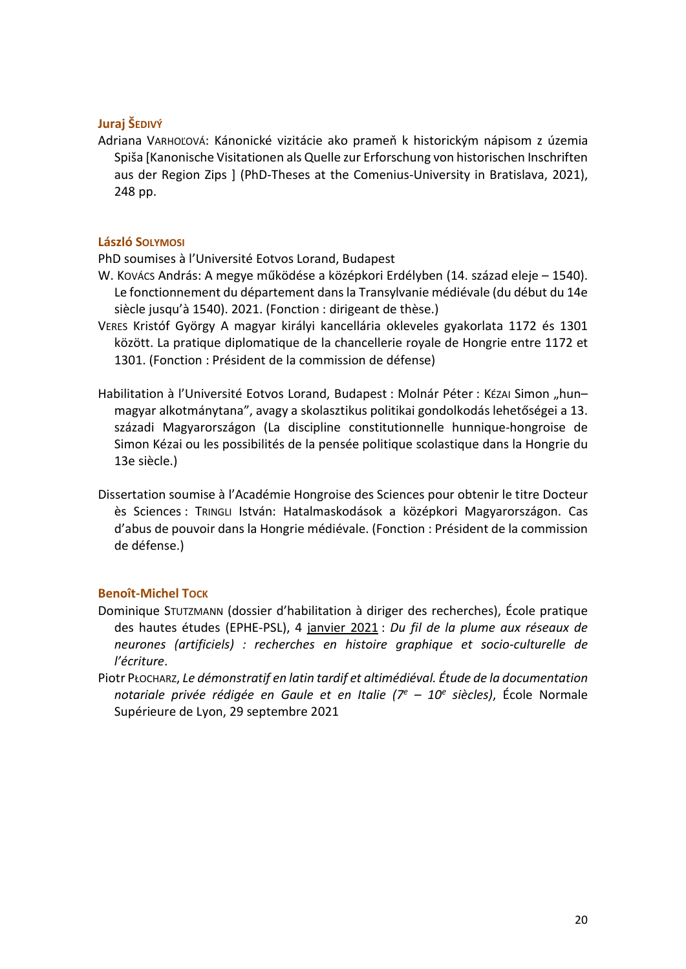## Juraj ŠEDIVÝ

Adriana VARHOĽOVÁ: Kánonické vizitácie ako prameň k historickým nápisom z územia Spiša [Kanonische Visitationen als Quelle zur Erforschung von historischen Inschriften aus der Region Zips ] (PhD-Theses at the Comenius-University in Bratislava, 2021), 248 pp.

## László SOLYMOSI

PhD soumises à l'Université Eotvos Lorand, Budapest

- W. KOVÁCS András: A megye működése a középkori Erdélyben (14. század eleje 1540). Le fonctionnement du département dans la Transylvanie médiévale (du début du 14e siècle jusqu'à 1540). 2021. (Fonction : dirigeant de thèse.)
- VERES Kristóf György A magyar királyi kancellária okleveles gyakorlata 1172 és 1301 között. La pratique diplomatique de la chancellerie royale de Hongrie entre 1172 et 1301. (Fonction : Président de la commission de défense)
- Habilitation à l'Université Eotvos Lorand, Budapest : Molnár Péter : Kézai Simon "hunmagyar alkotmánytana", avagy a skolasztikus politikai gondolkodás lehetőségei a 13. századi Magyarországon (La discipline constitutionnelle hunnique-hongroise de Simon Kézai ou les possibilités de la pensée politique scolastique dans la Hongrie du 13e siècle.)
- Dissertation soumise à l'Académie Hongroise des Sciences pour obtenir le titre Docteur ès Sciences : TRINGLI István: Hatalmaskodások a középkori Magyarországon. Cas d'abus de pouvoir dans la Hongrie médiévale. (Fonction : Président de la commission de défense.)

## Benoît-Michel TOCK

- Dominique STUTZMANN (dossier d'habilitation à diriger des recherches), École pratique des hautes études (EPHE-PSL), 4 janvier 2021 : Du fil de la plume aux réseaux de neurones (artificiels) : recherches en histoire graphique et socio-culturelle de l'écriture.
- Piotr PŁOCHARZ, Le démonstratif en latin tardif et altimédiéval. Étude de la documentation notariale privée rédigée en Gaule et en Italie ( $7^e$  – 10<sup>e</sup> siècles), École Normale Supérieure de Lyon, 29 septembre 2021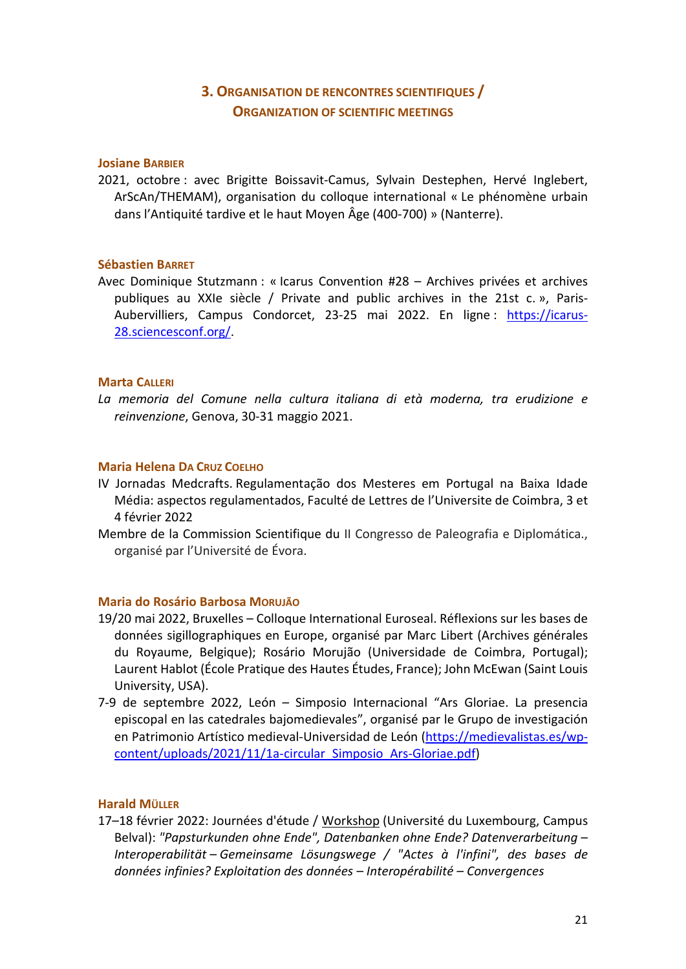# 3. ORGANISATION DE RENCONTRES SCIENTIFIQUES / ORGANIZATION OF SCIENTIFIC MEETINGS

### Josiane BARBIER

2021, octobre : avec Brigitte Boissavit-Camus, Sylvain Destephen, Hervé Inglebert, ArScAn/THEMAM), organisation du colloque international « Le phénomène urbain dans l'Antiquité tardive et le haut Moyen Âge (400-700) » (Nanterre).

### Sébastien BARRET

Avec Dominique Stutzmann : « Icarus Convention #28 – Archives privées et archives publiques au XXIe siècle / Private and public archives in the 21st c. », Paris-Aubervilliers, Campus Condorcet, 23-25 mai 2022. En ligne : https://icarus-28.sciencesconf.org/.

## Marta CALLERI

La memoria del Comune nella cultura italiana di età moderna, tra erudizione e reinvenzione, Genova, 30-31 maggio 2021.

### Maria Helena DA CRUZ COELHO

- IV Jornadas Medcrafts. Regulamentação dos Mesteres em Portugal na Baixa Idade Média: aspectos regulamentados, Faculté de Lettres de l'Universite de Coimbra, 3 et 4 février 2022
- Membre de la Commission Scientifique du II Congresso de Paleografia e Diplomática., organisé par l'Université de Évora.

#### Maria do Rosário Barbosa MORUJÃO

- 19/20 mai 2022, Bruxelles Colloque International Euroseal. Réflexions sur les bases de données sigillographiques en Europe, organisé par Marc Libert (Archives générales du Royaume, Belgique); Rosário Morujão (Universidade de Coimbra, Portugal); Laurent Hablot (École Pratique des Hautes Études, France); John McEwan (Saint Louis University, USA).
- 7-9 de septembre 2022, León Simposio Internacional "Ars Gloriae. La presencia episcopal en las catedrales bajomedievales", organisé par le Grupo de investigación en Patrimonio Artístico medieval-Universidad de León (https://medievalistas.es/wpcontent/uploads/2021/11/1a-circular\_Simposio\_Ars-Gloriae.pdf)

## Harald MÜLLER

17-18 février 2022: Journées d'étude / Workshop (Université du Luxembourg, Campus Belval): "Papsturkunden ohne Ende", Datenbanken ohne Ende? Datenverarbeitung – Interoperabilität – Gemeinsame Lösungswege / "Actes à l'infini", des bases de données infinies? Exploitation des données – Interopérabilité – Convergences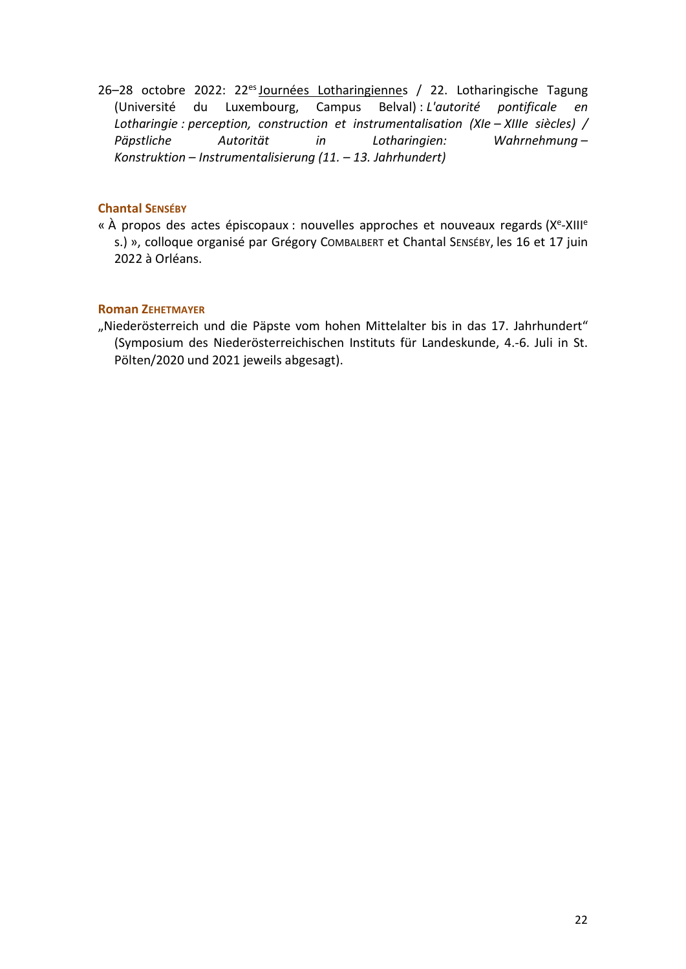26-28 octobre 2022: 22<sup>es</sup> Journées Lotharingiennes / 22. Lotharingische Tagung (Université du Luxembourg, Campus Belval) : L'autorité pontificale en Lotharingie : perception, construction et instrumentalisation (XIe – XIIIe siècles) / Päpstliche Autorität in Lotharingien: Wahrnehmung – Konstruktion – Instrumentalisierung (11. – 13. Jahrhundert)

## Chantal SENSÉBY

« À propos des actes épiscopaux : nouvelles approches et nouveaux regards (X<sup>e</sup>-XIII<sup>e</sup> s.) », colloque organisé par Grégory COMBALBERT et Chantal SENSÉBY, les 16 et 17 juin 2022 à Orléans.

## Roman ZEHETMAYER

"Niederösterreich und die Päpste vom hohen Mittelalter bis in das 17. Jahrhundert" (Symposium des Niederösterreichischen Instituts für Landeskunde, 4.-6. Juli in St. Pölten/2020 und 2021 jeweils abgesagt).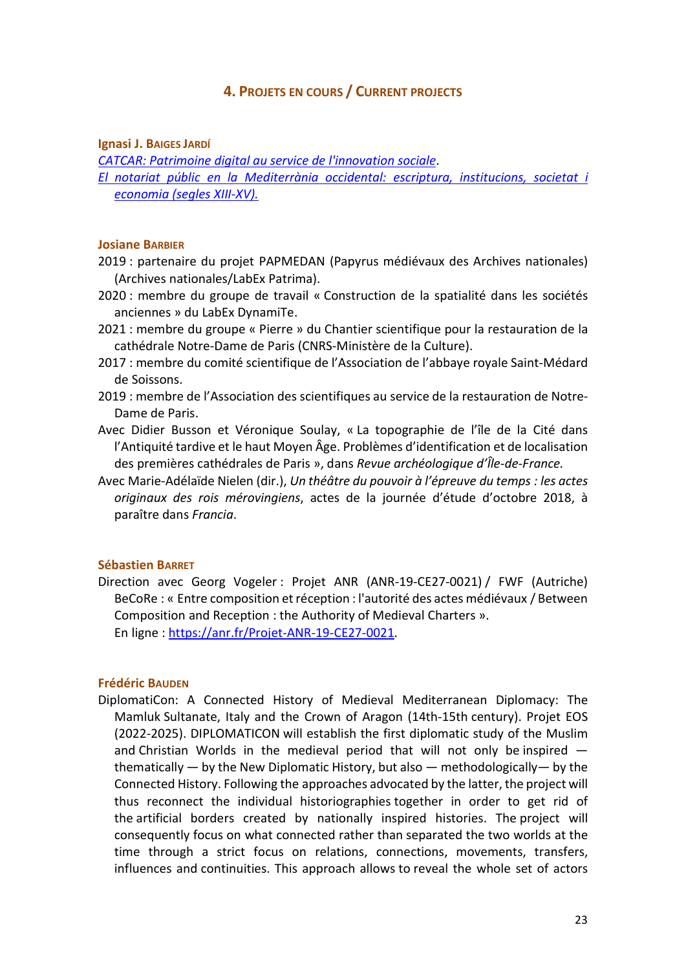## 4. PROJETS EN COURS / CURRENT PROJECTS

Ignasi J. BAIGES JARDÍ

CATCAR: Patrimoine digital au service de l'innovation sociale.

El notariat públic en la Mediterrània occidental: escriptura, institucions, societat i economia (segles XIII-XV).

#### Josiane BARBIER

- 2019 : partenaire du projet PAPMEDAN (Papyrus médiévaux des Archives nationales) (Archives nationales/LabEx Patrima).
- 2020 : membre du groupe de travail « Construction de la spatialité dans les sociétés anciennes » du LabEx DynamiTe.
- 2021 : membre du groupe « Pierre » du Chantier scientifique pour la restauration de la cathédrale Notre-Dame de Paris (CNRS-Ministère de la Culture).
- 2017 : membre du comité scientifique de l'Association de l'abbaye royale Saint-Médard de Soissons.
- 2019 : membre de l'Association des scientifiques au service de la restauration de Notre-Dame de Paris.
- Avec Didier Busson et Véronique Soulay, « La topographie de l'île de la Cité dans l'Antiquité tardive et le haut Moyen Âge. Problèmes d'identification et de localisation des premières cathédrales de Paris », dans Revue archéologique d'Île-de-France.
- Avec Marie-Adélaïde Nielen (dir.), Un théâtre du pouvoir à l'épreuve du temps : les actes originaux des rois mérovingiens, actes de la journée d'étude d'octobre 2018, à paraître dans Francia.

#### Sébastien BARRET

Direction avec Georg Vogeler : Projet ANR (ANR-19-CE27-0021) / FWF (Autriche) BeCoRe : « Entre composition et réception : l'autorité des actes médiévaux / Between Composition and Reception : the Authority of Medieval Charters ». En ligne : https://anr.fr/Projet-ANR-19-CE27-0021.

#### Frédéric BAUDEN

DiplomatiCon: A Connected History of Medieval Mediterranean Diplomacy: The Mamluk Sultanate, Italy and the Crown of Aragon (14th-15th century). Projet EOS (2022-2025). DIPLOMATICON will establish the first diplomatic study of the Muslim and Christian Worlds in the medieval period that will not only be inspired thematically — by the New Diplomatic History, but also — methodologically— by the Connected History. Following the approaches advocated by the latter, the project will thus reconnect the individual historiographies together in order to get rid of the artificial borders created by nationally inspired histories. The project will consequently focus on what connected rather than separated the two worlds at the time through a strict focus on relations, connections, movements, transfers, influences and continuities. This approach allows to reveal the whole set of actors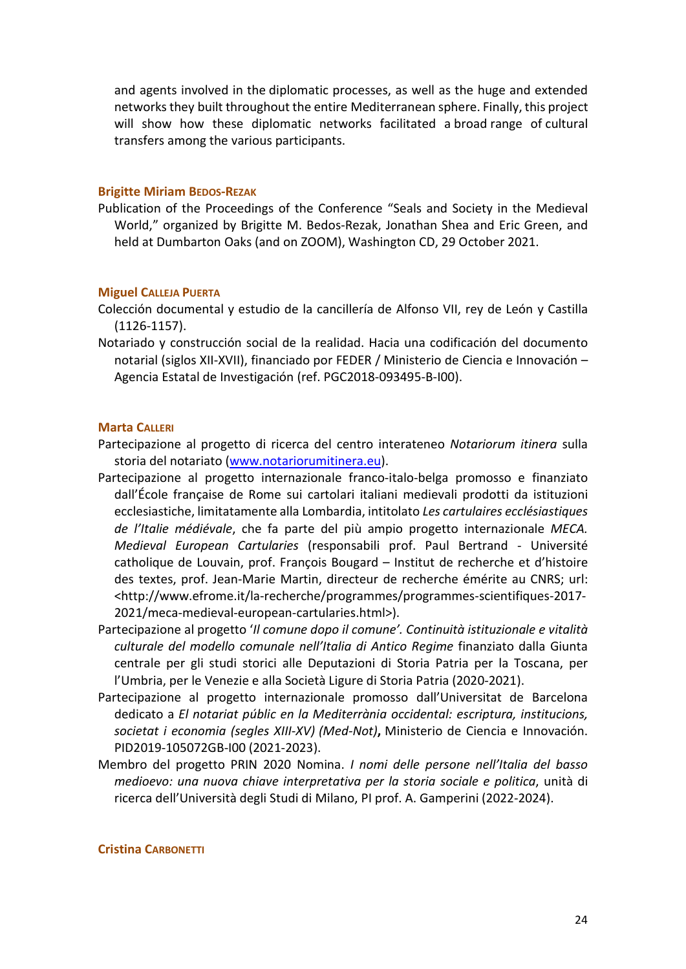and agents involved in the diplomatic processes, as well as the huge and extended networks they built throughout the entire Mediterranean sphere. Finally, this project will show how these diplomatic networks facilitated a broad range of cultural transfers among the various participants.

#### Brigitte Miriam BEDOS-REZAK

Publication of the Proceedings of the Conference "Seals and Society in the Medieval World," organized by Brigitte M. Bedos-Rezak, Jonathan Shea and Eric Green, and held at Dumbarton Oaks (and on ZOOM), Washington CD, 29 October 2021.

#### Miguel CALLEJA PUERTA

- Colección documental y estudio de la cancillería de Alfonso VII, rey de León y Castilla (1126-1157).
- Notariado y construcción social de la realidad. Hacia una codificación del documento notarial (siglos XII-XVII), financiado por FEDER / Ministerio de Ciencia e Innovación – Agencia Estatal de Investigación (ref. PGC2018-093495-B-I00).

#### Marta CALLERI

- Partecipazione al progetto di ricerca del centro interateneo Notariorum itinera sulla storia del notariato (www.notariorumitinera.eu).
- Partecipazione al progetto internazionale franco-italo-belga promosso e finanziato dall'École française de Rome sui cartolari italiani medievali prodotti da istituzioni ecclesiastiche, limitatamente alla Lombardia, intitolato Les cartulaires ecclésiastiques de l'Italie médiévale, che fa parte del più ampio progetto internazionale MECA. Medieval European Cartularies (responsabili prof. Paul Bertrand - Université catholique de Louvain, prof. François Bougard – Institut de recherche et d'histoire des textes, prof. Jean-Marie Martin, directeur de recherche émérite au CNRS; url: <http://www.efrome.it/la-recherche/programmes/programmes-scientifiques-2017- 2021/meca-medieval-european-cartularies.html>).
- Partecipazione al progetto 'Il comune dopo il comune'. Continuità istituzionale e vitalità culturale del modello comunale nell'Italia di Antico Regime finanziato dalla Giunta centrale per gli studi storici alle Deputazioni di Storia Patria per la Toscana, per l'Umbria, per le Venezie e alla Società Ligure di Storia Patria (2020-2021).
- Partecipazione al progetto internazionale promosso dall'Universitat de Barcelona dedicato a El notariat públic en la Mediterrània occidental: escriptura, institucions, societat i economia (segles XIII-XV) (Med-Not), Ministerio de Ciencia e Innovación. PID2019-105072GB-I00 (2021-2023).
- Membro del progetto PRIN 2020 Nomina. I nomi delle persone nell'Italia del basso medioevo: una nuova chiave interpretativa per la storia sociale e politica, unità di ricerca dell'Università degli Studi di Milano, PI prof. A. Gamperini (2022-2024).

#### Cristina CARBONETTI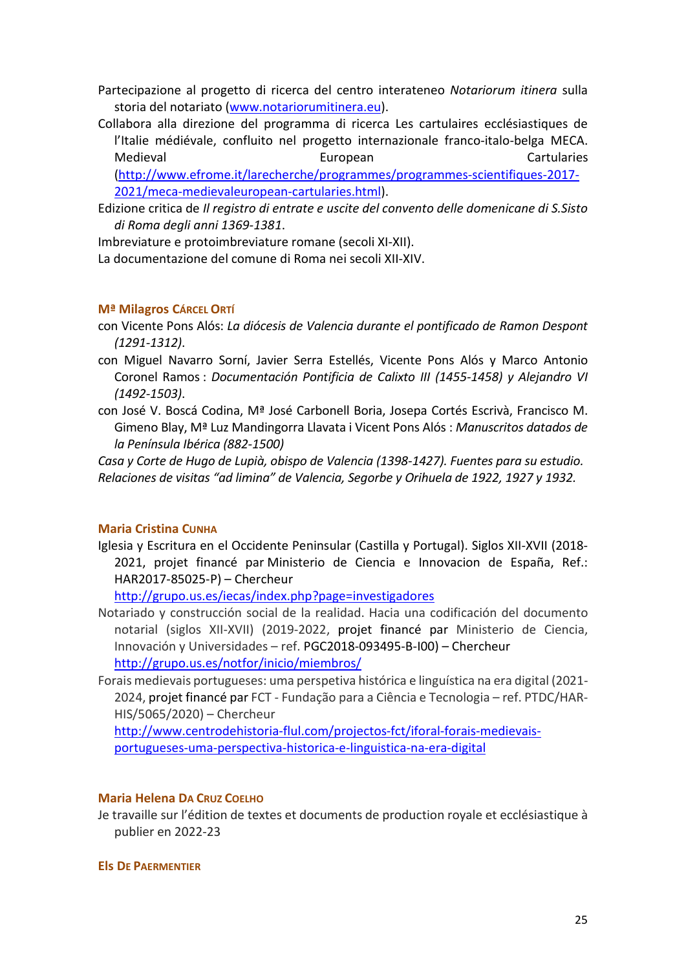Partecipazione al progetto di ricerca del centro interateneo Notariorum itinera sulla storia del notariato (www.notariorumitinera.eu).

Collabora alla direzione del programma di ricerca Les cartulaires ecclésiastiques de l'Italie médiévale, confluito nel progetto internazionale franco-italo-belga MECA. Medieval European Cartularies

(http://www.efrome.it/larecherche/programmes/programmes-scientifiques-2017- 2021/meca-medievaleuropean-cartularies.html).

Edizione critica de Il registro di entrate e uscite del convento delle domenicane di S.Sisto di Roma degli anni 1369-1381.

Imbreviature e protoimbreviature romane (secoli XI-XII).

La documentazione del comune di Roma nei secoli XII-XIV.

### Mª Milagros CÁRCEL ORTÍ

- con Vicente Pons Alós: La diócesis de Valencia durante el pontificado de Ramon Despont (1291-1312).
- con Miguel Navarro Sorní, Javier Serra Estellés, Vicente Pons Alós y Marco Antonio Coronel Ramos : Documentación Pontificia de Calixto III (1455-1458) y Alejandro VI (1492-1503).
- con José V. Boscá Codina, Mª José Carbonell Boria, Josepa Cortés Escrivà, Francisco M. Gimeno Blay, Mª Luz Mandingorra Llavata i Vicent Pons Alós : Manuscritos datados de la Península Ibérica (882-1500)

Casa y Corte de Hugo de Lupià, obispo de Valencia (1398-1427). Fuentes para su estudio. Relaciones de visitas "ad limina" de Valencia, Segorbe y Orihuela de 1922, 1927 y 1932.

## Maria Cristina CUNHA

Iglesia y Escritura en el Occidente Peninsular (Castilla y Portugal). Siglos XII-XVII (2018- 2021, projet financé par Ministerio de Ciencia e Innovacion de España, Ref.: HAR2017-85025-P) – Chercheur

http://grupo.us.es/iecas/index.php?page=investigadores

- Notariado y construcción social de la realidad. Hacia una codificación del documento notarial (siglos XII-XVII) (2019-2022, projet financé par Ministerio de Ciencia, Innovación y Universidades – ref. PGC2018-093495-B-I00) – Chercheur http://grupo.us.es/notfor/inicio/miembros/
- Forais medievais portugueses: uma perspetiva histórica e linguística na era digital (2021- 2024, projet financé par FCT - Fundação para a Ciência e Tecnologia – ref. PTDC/HAR-HIS/5065/2020) – Chercheur

http://www.centrodehistoria-flul.com/projectos-fct/iforal-forais-medievaisportugueses-uma-perspectiva-historica-e-linguistica-na-era-digital

#### Maria Helena DA CRUZ COELHO

Je travaille sur l'édition de textes et documents de production royale et ecclésiastique à publier en 2022-23

Els DE PAERMENTIER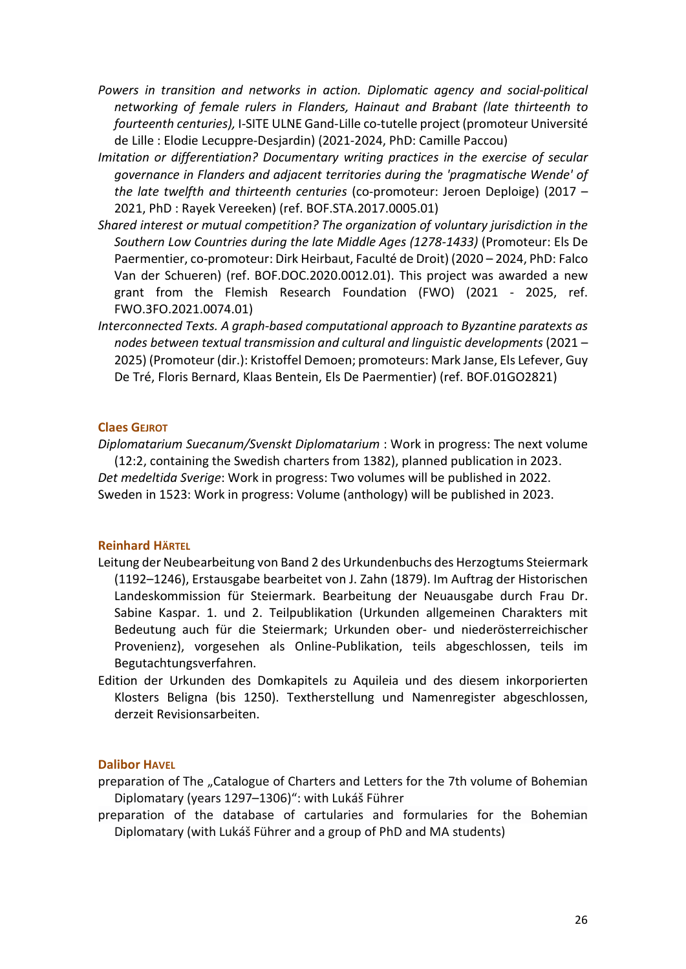- Powers in transition and networks in action. Diplomatic agency and social-political networking of female rulers in Flanders, Hainaut and Brabant (late thirteenth to fourteenth centuries), I-SITE ULNE Gand-Lille co-tutelle project (promoteur Université de Lille : Elodie Lecuppre-Desjardin) (2021-2024, PhD: Camille Paccou)
- Imitation or differentiation? Documentary writing practices in the exercise of secular governance in Flanders and adjacent territories during the 'pragmatische Wende' of the late twelfth and thirteenth centuries (co-promoteur: Jeroen Deploige) (2017 – 2021, PhD : Rayek Vereeken) (ref. BOF.STA.2017.0005.01)
- Shared interest or mutual competition? The organization of voluntary jurisdiction in the Southern Low Countries during the late Middle Ages (1278-1433) (Promoteur: Els De Paermentier, co-promoteur: Dirk Heirbaut, Faculté de Droit) (2020 – 2024, PhD: Falco Van der Schueren) (ref. BOF.DOC.2020.0012.01). This project was awarded a new grant from the Flemish Research Foundation (FWO) (2021 - 2025, ref. FWO.3FO.2021.0074.01)
- Interconnected Texts. A graph-based computational approach to Byzantine paratexts as nodes between textual transmission and cultural and linguistic developments (2021 – 2025) (Promoteur (dir.): Kristoffel Demoen; promoteurs: Mark Janse, Els Lefever, Guy De Tré, Floris Bernard, Klaas Bentein, Els De Paermentier) (ref. BOF.01GO2821)

### Claes GEJROT

Diplomatarium Suecanum/Svenskt Diplomatarium : Work in progress: The next volume (12:2, containing the Swedish charters from 1382), planned publication in 2023. Det medeltida Sverige: Work in progress: Two volumes will be published in 2022. Sweden in 1523: Work in progress: Volume (anthology) will be published in 2023.

## Reinhard HÄRTEL

- Leitung der Neubearbeitung von Band 2 des Urkundenbuchs des Herzogtums Steiermark (1192–1246), Erstausgabe bearbeitet von J. Zahn (1879). Im Auftrag der Historischen Landeskommission für Steiermark. Bearbeitung der Neuausgabe durch Frau Dr. Sabine Kaspar. 1. und 2. Teilpublikation (Urkunden allgemeinen Charakters mit Bedeutung auch für die Steiermark; Urkunden ober- und niederösterreichischer Provenienz), vorgesehen als Online-Publikation, teils abgeschlossen, teils im Begutachtungsverfahren.
- Edition der Urkunden des Domkapitels zu Aquileia und des diesem inkorporierten Klosters Beligna (bis 1250). Textherstellung und Namenregister abgeschlossen, derzeit Revisionsarbeiten.

#### Dalibor HAVEL

preparation of The "Catalogue of Charters and Letters for the 7th volume of Bohemian Diplomatary (years 1297–1306)": with Lukáš Führer

preparation of the database of cartularies and formularies for the Bohemian Diplomatary (with Lukáš Führer and a group of PhD and MA students)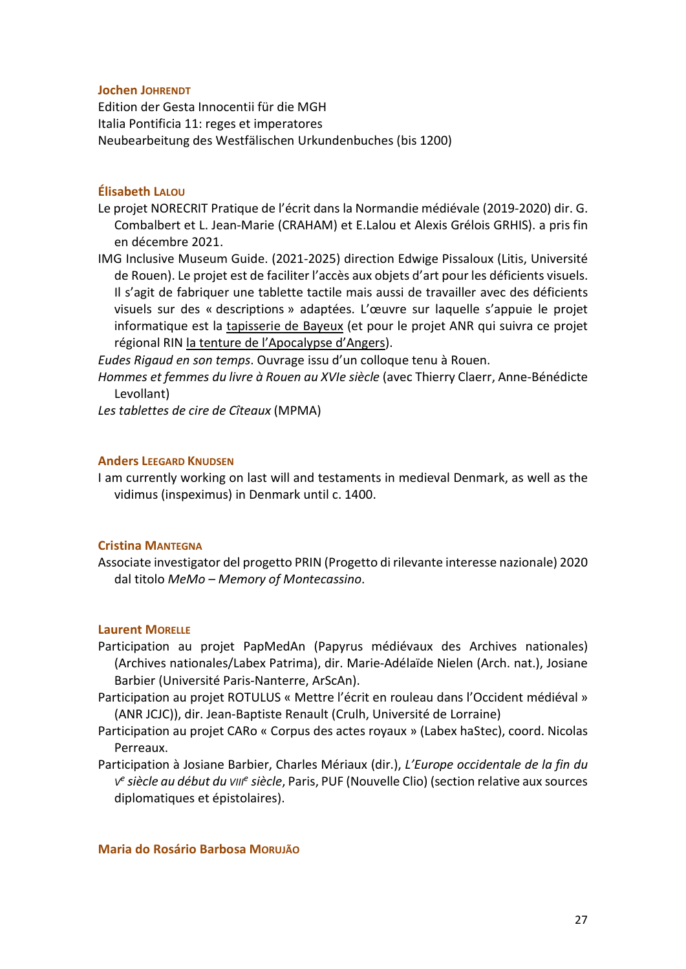#### Jochen JOHRENDT

Edition der Gesta Innocentii für die MGH Italia Pontificia 11: reges et imperatores Neubearbeitung des Westfälischen Urkundenbuches (bis 1200)

## Élisabeth LALOU

- Le projet NORECRIT Pratique de l'écrit dans la Normandie médiévale (2019-2020) dir. G. Combalbert et L. Jean-Marie (CRAHAM) et E.Lalou et Alexis Grélois GRHIS). a pris fin en décembre 2021.
- IMG Inclusive Museum Guide. (2021-2025) direction Edwige Pissaloux (Litis, Université de Rouen). Le projet est de faciliter l'accès aux objets d'art pour les déficients visuels. Il s'agit de fabriquer une tablette tactile mais aussi de travailler avec des déficients visuels sur des « descriptions » adaptées. L'œuvre sur laquelle s'appuie le projet informatique est la tapisserie de Bayeux (et pour le projet ANR qui suivra ce projet régional RIN la tenture de l'Apocalypse d'Angers).

Eudes Rigaud en son temps. Ouvrage issu d'un colloque tenu à Rouen.

Hommes et femmes du livre à Rouen au XVIe siècle (avec Thierry Claerr, Anne-Bénédicte Levollant)

Les tablettes de cire de Cîteaux (MPMA)

### Anders LEEGARD KNUDSEN

I am currently working on last will and testaments in medieval Denmark, as well as the vidimus (inspeximus) in Denmark until c. 1400.

## Cristina MANTEGNA

Associate investigator del progetto PRIN (Progetto di rilevante interesse nazionale) 2020 dal titolo MeMo – Memory of Montecassino.

## Laurent MORELLE

- Participation au projet PapMedAn (Papyrus médiévaux des Archives nationales) (Archives nationales/Labex Patrima), dir. Marie-Adélaïde Nielen (Arch. nat.), Josiane Barbier (Université Paris-Nanterre, ArScAn).
- Participation au projet ROTULUS « Mettre l'écrit en rouleau dans l'Occident médiéval » (ANR JCJC)), dir. Jean-Baptiste Renault (Crulh, Université de Lorraine)
- Participation au projet CARo « Corpus des actes royaux » (Labex haStec), coord. Nicolas Perreaux.
- Participation à Josiane Barbier, Charles Mériaux (dir.), L'Europe occidentale de la fin du ve siècle au début du ville siècle, Paris, PUF (Nouvelle Clio) (section relative aux sources diplomatiques et épistolaires).

#### Maria do Rosário Barbosa MORUJÃO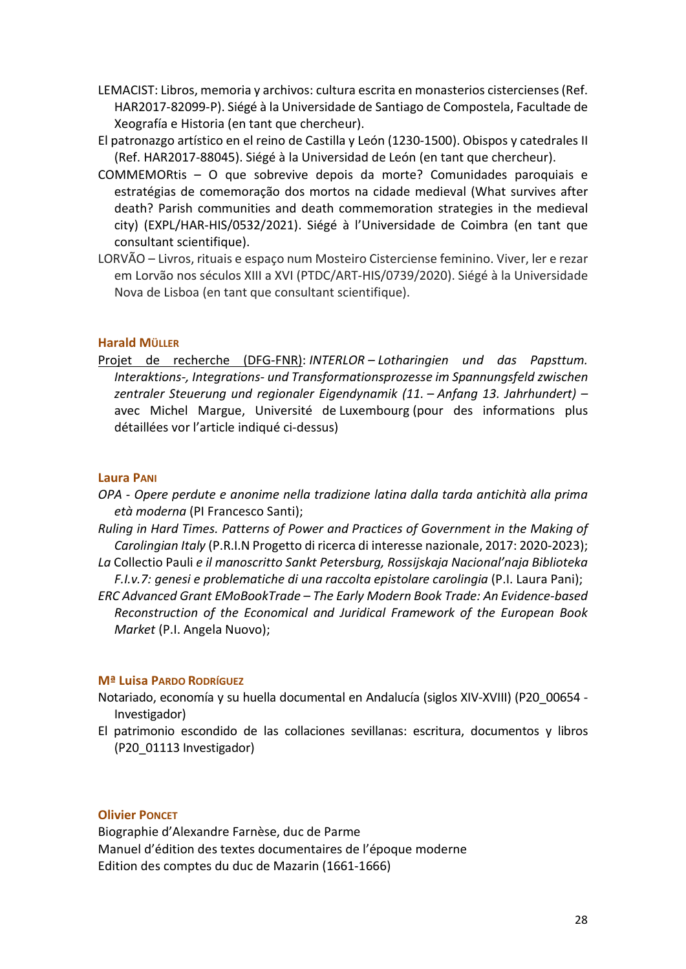- LEMACIST: Libros, memoria y archivos: cultura escrita en monasterios cistercienses (Ref. HAR2017-82099-P). Siégé à la Universidade de Santiago de Compostela, Facultade de Xeografía e Historia (en tant que chercheur).
- El patronazgo artístico en el reino de Castilla y León (1230-1500). Obispos y catedrales II (Ref. HAR2017-88045). Siégé à la Universidad de León (en tant que chercheur).
- COMMEMORtis O que sobrevive depois da morte? Comunidades paroquiais e estratégias de comemoração dos mortos na cidade medieval (What survives after death? Parish communities and death commemoration strategies in the medieval city) (EXPL/HAR-HIS/0532/2021). Siégé à l'Universidade de Coimbra (en tant que consultant scientifique).
- LORVÃO Livros, rituais e espaço num Mosteiro Cisterciense feminino. Viver, ler e rezar em Lorvão nos séculos XIII a XVI (PTDC/ART-HIS/0739/2020). Siégé à la Universidade Nova de Lisboa (en tant que consultant scientifique).

## Harald MÜLLER

Projet de recherche (DFG-FNR): INTERLOR – Lotharingien und das Papsttum. Interaktions-, Integrations- und Transformationsprozesse im Spannungsfeld zwischen zentraler Steuerung und regionaler Eigendynamik (11. – Anfang 13. Jahrhundert) – avec Michel Margue, Université de Luxembourg (pour des informations plus détaillées vor l'article indiqué ci-dessus)

## Laura PANI

- OPA Opere perdute e anonime nella tradizione latina dalla tarda antichità alla prima età moderna (PI Francesco Santi);
- Ruling in Hard Times. Patterns of Power and Practices of Government in the Making of Carolingian Italy (P.R.I.N Progetto di ricerca di interesse nazionale, 2017: 2020-2023);
- La Collectio Pauli e il manoscritto Sankt Petersburg, Rossijskaja Nacional'naja Biblioteka F.I.v.7: genesi e problematiche di una raccolta epistolare carolingia (P.I. Laura Pani);
- ERC Advanced Grant EMoBookTrade The Early Modern Book Trade: An Evidence-based Reconstruction of the Economical and Juridical Framework of the European Book Market (P.I. Angela Nuovo);

## Mª Luisa PARDO RODRÍGUEZ

- Notariado, economía y su huella documental en Andalucía (siglos XIV-XVIII) (P20\_00654 Investigador)
- El patrimonio escondido de las collaciones sevillanas: escritura, documentos y libros (P20\_01113 Investigador)

## Olivier PONCET

Biographie d'Alexandre Farnèse, duc de Parme Manuel d'édition des textes documentaires de l'époque moderne Edition des comptes du duc de Mazarin (1661-1666)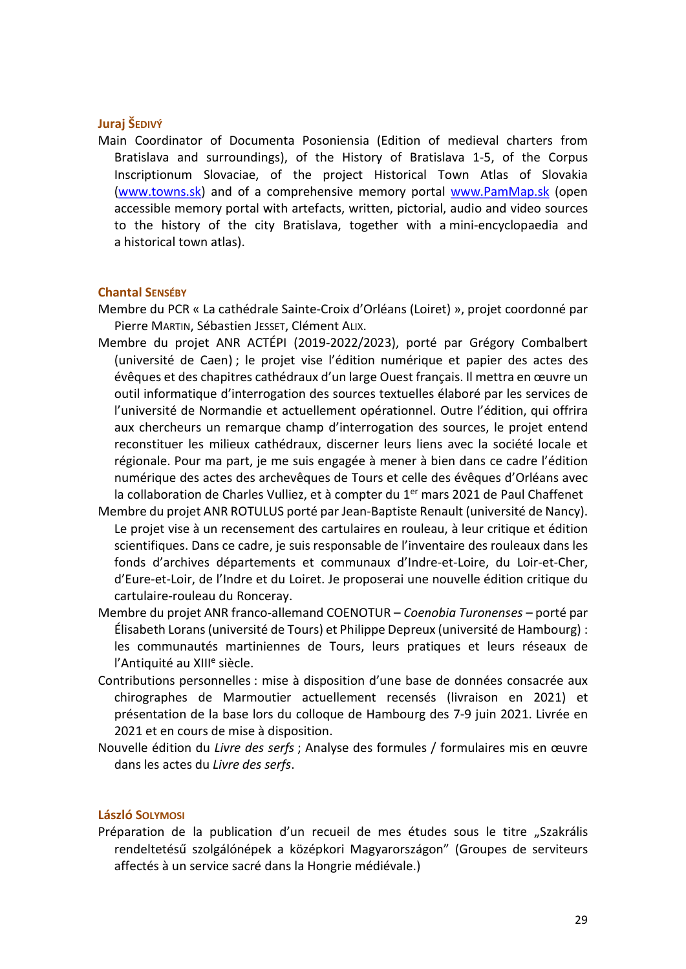## Juraj ŠEDIVÝ

Main Coordinator of Documenta Posoniensia (Edition of medieval charters from Bratislava and surroundings), of the History of Bratislava 1-5, of the Corpus Inscriptionum Slovaciae, of the project Historical Town Atlas of Slovakia (www.towns.sk) and of a comprehensive memory portal www.PamMap.sk (open accessible memory portal with artefacts, written, pictorial, audio and video sources to the history of the city Bratislava, together with a mini-encyclopaedia and a historical town atlas).

#### Chantal SENSÉBY

- Membre du PCR « La cathédrale Sainte-Croix d'Orléans (Loiret) », projet coordonné par Pierre MARTIN, Sébastien JESSET, Clément ALIX.
- Membre du projet ANR ACTÉPI (2019-2022/2023), porté par Grégory Combalbert (université de Caen) ; le projet vise l'édition numérique et papier des actes des évêques et des chapitres cathédraux d'un large Ouest français. Il mettra en œuvre un outil informatique d'interrogation des sources textuelles élaboré par les services de l'université de Normandie et actuellement opérationnel. Outre l'édition, qui offrira aux chercheurs un remarque champ d'interrogation des sources, le projet entend reconstituer les milieux cathédraux, discerner leurs liens avec la société locale et régionale. Pour ma part, je me suis engagée à mener à bien dans ce cadre l'édition numérique des actes des archevêques de Tours et celle des évêques d'Orléans avec la collaboration de Charles Vulliez, et à compter du 1<sup>er</sup> mars 2021 de Paul Chaffenet
- Membre du projet ANR ROTULUS porté par Jean-Baptiste Renault (université de Nancy). Le projet vise à un recensement des cartulaires en rouleau, à leur critique et édition scientifiques. Dans ce cadre, je suis responsable de l'inventaire des rouleaux dans les fonds d'archives départements et communaux d'Indre-et-Loire, du Loir-et-Cher, d'Eure-et-Loir, de l'Indre et du Loiret. Je proposerai une nouvelle édition critique du cartulaire-rouleau du Ronceray.
- Membre du projet ANR franco-allemand COENOTUR Coenobia Turonenses porté par Élisabeth Lorans (université de Tours) et Philippe Depreux (université de Hambourg) : les communautés martiniennes de Tours, leurs pratiques et leurs réseaux de l'Antiquité au XIII<sup>e</sup> siècle.
- Contributions personnelles : mise à disposition d'une base de données consacrée aux chirographes de Marmoutier actuellement recensés (livraison en 2021) et présentation de la base lors du colloque de Hambourg des 7-9 juin 2021. Livrée en 2021 et en cours de mise à disposition.
- Nouvelle édition du Livre des serfs ; Analyse des formules / formulaires mis en œuvre dans les actes du Livre des serfs.

#### László SOLYMOSI

Préparation de la publication d'un recueil de mes études sous le titre "Szakrális rendeltetésű szolgálónépek a középkori Magyarországon" (Groupes de serviteurs affectés à un service sacré dans la Hongrie médiévale.)